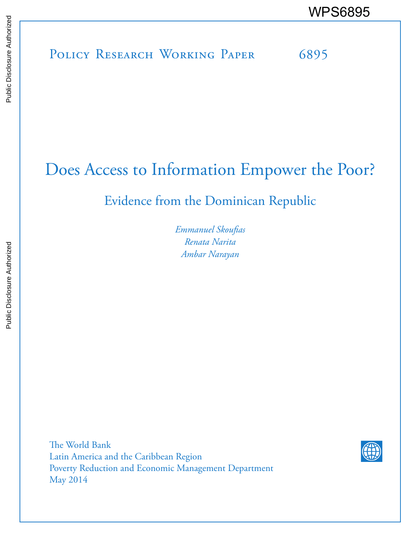# Does Access to Information Empower the Poor?

Evidence from the Dominican Republic

*Emmanuel Skoufias Renata Narita Ambar Narayan* 

The World Bank Latin America and the Caribbean Region Poverty Reduction and Economic Management Department May 2014

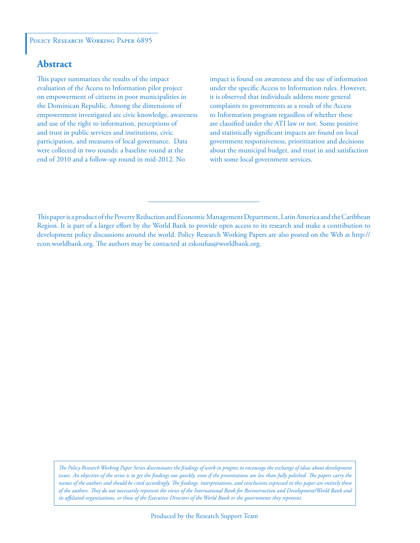#### POLICY RESEARCH WORKING PAPER 6895

#### **Abstract**

This paper summarizes the results of the impact evaluation of the Access to Information pilot project on empowerment of citizens in poor municipalities in the Dominican Republic. Among the dimensions of empowerment investigated are civic knowledge, awareness and use of the right to information, perceptions of and trust in public services and institutions, civic participation, and measures of local governance. Data were collected in two rounds: a baseline round at the end of 2010 and a follow-up round in mid-2012. No

impact is found on awareness and the use of information under the specific Access to Information rules. However, it is observed that individuals address more general complaints to governments as a result of the Access to Information program regardless of whether these are classified under the ATI law or not. Some positive and statistically significant impacts are found on local government responsiveness, prioritization and decisions about the municipal budget, and trust in and satisfaction with some local government services.

This paper is a product of the Poverty Reduction and Economic Management Department, Latin America and the Caribbean Region. It is part of a larger effort by the World Bank to provide open access to its research and make a contribution to development policy discussions around the world. Policy Research Working Papers are also posted on the Web at http:// econ.worldbank.org. The authors may be contacted at eskoufias@worldbank.org.

*The Policy Research Working Paper Series disseminates the findings of work in progress to encourage the exchange of ideas about development*  issues. An objective of the series is to get the findings out quickly, even if the presentations are less than fully polished. The papers carry the *names of the authors and should be cited accordingly. The findings, interpretations, and conclusions expressed in this paper are entirely those of the authors. They do not necessarily represent the views of the International Bank for Reconstruction and Development/World Bank and its affiliated organizations, or those of the Executive Directors of the World Bank or the governments they represent.*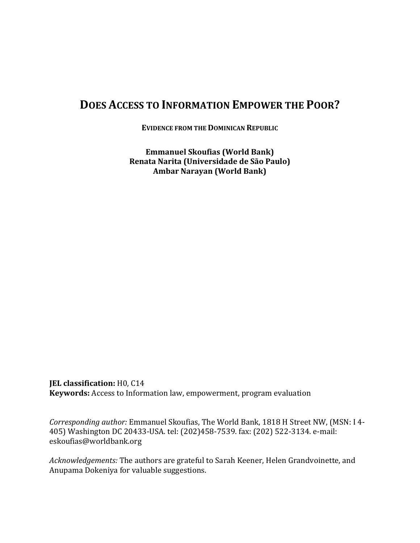# **DOES ACCESS TO INFORMATION EMPOWER THE POOR?**

**EVIDENCE FROM THE DOMINICAN REPUBLIC**

**Emmanuel Skoufias (World Bank) Renata Narita (Universidade de São Paulo) Ambar Narayan (World Bank)**

**JEL classification:** H0, C14 **Keywords:** Access to Information law, empowerment, program evaluation

*Corresponding author:* Emmanuel Skoufias, The World Bank, 1818 H Street NW, (MSN: I 4- 405) Washington DC 20433-USA. tel: (202)458-7539. fax: (202) 522-3134. e-mail: [eskoufias@worldbank.org](mailto:eskoufias@worldbank.org)

*Acknowledgements:* The authors are grateful to Sarah Keener, Helen Grandvoinette, and Anupama Dokeniya for valuable suggestions.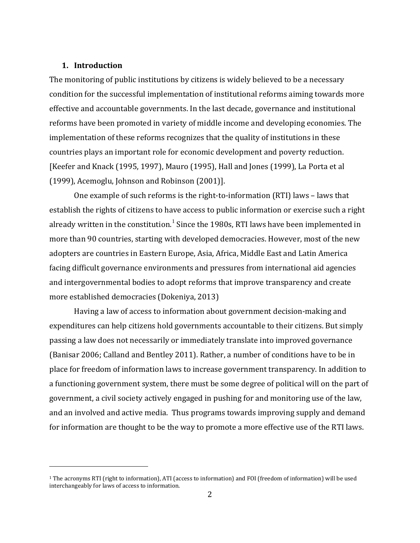#### **1. Introduction**

i<br>I

The monitoring of public institutions by citizens is widely believed to be a necessary condition for the successful implementation of institutional reforms aiming towards more effective and accountable governments. In the last decade, governance and institutional reforms have been promoted in variety of middle income and developing economies. The implementation of these reforms recognizes that the quality of institutions in these countries plays an important role for economic development and poverty reduction. [Keefer and Knack (1995, 1997), Mauro (1995), Hall and Jones (1999), La Porta et al (1999), Acemoglu, Johnson and Robinson (2001)].

One example of such reforms is the right-to-information (RTI) laws – laws that establish the rights of citizens to have access to public information or exercise such a right already written in the constitution.<sup>[1](#page-3-0)</sup> Since the 1980s, RTI laws have been implemented in more than 90 countries, starting with developed democracies. However, most of the new adopters are countries in Eastern Europe, Asia, Africa, Middle East and Latin America facing difficult governance environments and pressures from international aid agencies and intergovernmental bodies to adopt reforms that improve transparency and create more established democracies (Dokeniya, 2013)

Having a law of access to information about government decision-making and expenditures can help citizens hold governments accountable to their citizens. But simply passing a law does not necessarily or immediately translate into improved governance (Banisar 2006; Calland and Bentley 2011). Rather, a number of conditions have to be in place for freedom of information laws to increase government transparency. In addition to a functioning government system, there must be some degree of political will on the part of government, a civil society actively engaged in pushing for and monitoring use of the law, and an involved and active media. Thus programs towards improving supply and demand for information are thought to be the way to promote a more effective use of the RTI laws.

<span id="page-3-0"></span><sup>1</sup> The acronyms RTI (right to information), ATI (access to information) and FOI (freedom of information) will be used interchangeably for laws of access to information.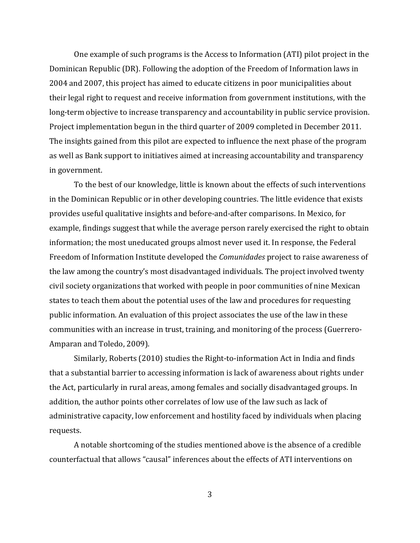One example of such programs is the Access to Information (ATI) pilot project in the Dominican Republic (DR). Following the adoption of the Freedom of Information laws in 2004 and 2007, this project has aimed to educate citizens in poor municipalities about their legal right to request and receive information from government institutions, with the long-term objective to increase transparency and accountability in public service provision. Project implementation begun in the third quarter of 2009 completed in December 2011. The insights gained from this pilot are expected to influence the next phase of the program as well as Bank support to initiatives aimed at increasing accountability and transparency in government.

To the best of our knowledge, little is known about the effects of such interventions in the Dominican Republic or in other developing countries. The little evidence that exists provides useful qualitative insights and before-and-after comparisons. In Mexico, for example, findings suggest that while the average person rarely exercised the right to obtain information; the most uneducated groups almost never used it. In response, the Federal Freedom of Information Institute developed the *Comunidades* project to raise awareness of the law among the country's most disadvantaged individuals. The project involved twenty civil society organizations that worked with people in poor communities of nine Mexican states to teach them about the potential uses of the law and procedures for requesting public information. An evaluation of this project associates the use of the law in these communities with an increase in trust, training, and monitoring of the process (Guerrero-Amparan and Toledo, 2009).

Similarly, Roberts (2010) studies the Right-to-information Act in India and finds that a substantial barrier to accessing information is lack of awareness about rights under the Act, particularly in rural areas, among females and socially disadvantaged groups. In addition, the author points other correlates of low use of the law such as lack of administrative capacity, low enforcement and hostility faced by individuals when placing requests.

A notable shortcoming of the studies mentioned above is the absence of a credible counterfactual that allows "causal" inferences about the effects of ATI interventions on

3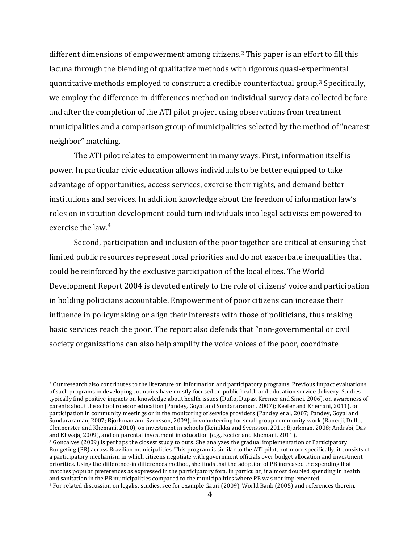different dimensions of empowerment among citizens. [2](#page-5-0) This paper is an effort to fill this lacuna through the blending of qualitative methods with rigorous quasi-experimental quantitative methods employed to construct a credible counterfactual group.[3](#page-5-1) Specifically, we employ the difference-in-differences method on individual survey data collected before and after the completion of the ATI pilot project using observations from treatment municipalities and a comparison group of municipalities selected by the method of "nearest neighbor" matching.

The ATI pilot relates to empowerment in many ways. First, information itself is power. In particular civic education allows individuals to be better equipped to take advantage of opportunities, access services, exercise their rights, and demand better institutions and services. In addition knowledge about the freedom of information law's roles on institution development could turn individuals into legal activists empowered to exercise the law.<sup>[4](#page-5-2)</sup>

Second, participation and inclusion of the poor together are critical at ensuring that limited public resources represent local priorities and do not exacerbate inequalities that could be reinforced by the exclusive participation of the local elites. The World Development Report 2004 is devoted entirely to the role of citizens' voice and participation in holding politicians accountable. Empowerment of poor citizens can increase their influence in policymaking or align their interests with those of politicians, thus making basic services reach the poor. The report also defends that "non-governmental or civil society organizations can also help amplify the voice voices of the poor, coordinate

<span id="page-5-0"></span><sup>&</sup>lt;sup>2</sup> Our research also contributes to the literature on information and participatory programs. Previous impact evaluations of such programs in developing countries have mostly focused on public health and education service delivery. Studies typically find positive impacts on knowledge about health issues (Duflo, Dupas, Kremer and Sinei, 2006), on awareness of parents about the school roles or education (Pandey, Goyal and Sundararaman, 2007); Keefer and Khemani, 2011), on participation in community meetings or in the monitoring of service providers (Pandey et al, 2007; Pandey, Goyal and Sundararaman, 2007; Bjorkman and Svensson, 2009), in volunteering for small group community work (Banerji, Duflo, Glennerster and Khemani, 2010), on investment in schools (Reinikka and Svensson, 2011; Bjorkman, 2008; Andrabi, Das and Khwaja, 2009), and on parental investment in education (e.g., Keefer and Khemani, 2011).

<span id="page-5-1"></span><sup>3</sup> Goncalves (2009) is perhaps the closest study to ours. She analyzes the gradual implementation of Participatory Budgeting (PB) across Brazilian municipalities. This program is similar to the ATI pilot, but more specifically, it consists of a participatory mechanism in which citizens negotiate with government officials over budget allocation and investment priorities. Using the difference-in differences method, she finds that the adoption of PB increased the spending that matches popular preferences as expressed in the participatory fora. In particular, it almost doubled spending in health and sanitation in the PB municipalities compared to the municipalities where PB was not implemented.

<span id="page-5-2"></span><sup>4</sup> For related discussion on legalist studies, see for example Gauri (2009), World Bank (2005) and references therein.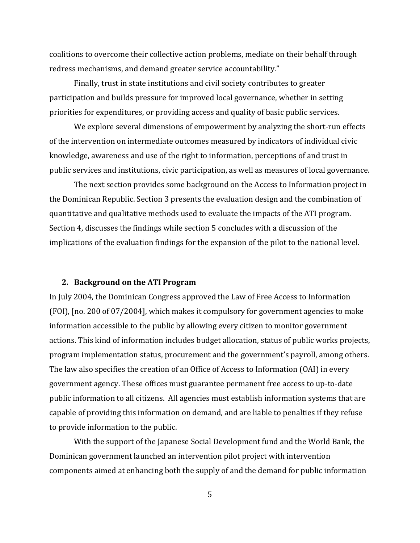coalitions to overcome their collective action problems, mediate on their behalf through redress mechanisms, and demand greater service accountability."

Finally, trust in state institutions and civil society contributes to greater participation and builds pressure for improved local governance, whether in setting priorities for expenditures, or providing access and quality of basic public services.

We explore several dimensions of empowerment by analyzing the short-run effects of the intervention on intermediate outcomes measured by indicators of individual civic knowledge, awareness and use of the right to information, perceptions of and trust in public services and institutions, civic participation, as well as measures of local governance.

The next section provides some background on the Access to Information project in the Dominican Republic. Section 3 presents the evaluation design and the combination of quantitative and qualitative methods used to evaluate the impacts of the ATI program. Section 4, discusses the findings while section 5 concludes with a discussion of the implications of the evaluation findings for the expansion of the pilot to the national level.

#### **2. Background on the ATI Program**

In July 2004, the Dominican Congress approved the Law of Free Access to Information (FOI), [no. 200 of 07/2004], which makes it compulsory for government agencies to make information accessible to the public by allowing every citizen to monitor government actions. This kind of information includes budget allocation, status of public works projects, program implementation status, procurement and the government's payroll, among others. The law also specifies the creation of an Office of Access to Information (OAI) in every government agency. These offices must guarantee permanent free access to up-to-date public information to all citizens. All agencies must establish information systems that are capable of providing this information on demand, and are liable to penalties if they refuse to provide information to the public.

With the support of the Japanese Social Development fund and the World Bank, the Dominican government launched an intervention pilot project with intervention components aimed at enhancing both the supply of and the demand for public information

5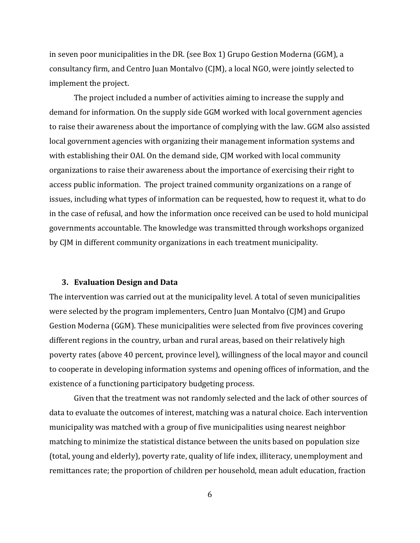in seven poor municipalities in the DR. (see Box 1) Grupo Gestion Moderna (GGM), a consultancy firm, and Centro Juan Montalvo (CJM), a local NGO, were jointly selected to implement the project.

The project included a number of activities aiming to increase the supply and demand for information. On the supply side GGM worked with local government agencies to raise their awareness about the importance of complying with the law. GGM also assisted local government agencies with organizing their management information systems and with establishing their OAI. On the demand side, CJM worked with local community organizations to raise their awareness about the importance of exercising their right to access public information. The project trained community organizations on a range of issues, including what types of information can be requested, how to request it, what to do in the case of refusal, and how the information once received can be used to hold municipal governments accountable. The knowledge was transmitted through workshops organized by CJM in different community organizations in each treatment municipality.

#### **3. Evaluation Design and Data**

The intervention was carried out at the municipality level. A total of seven municipalities were selected by the program implementers, Centro Juan Montalvo (CJM) and Grupo Gestion Moderna (GGM). These municipalities were selected from five provinces covering different regions in the country, urban and rural areas, based on their relatively high poverty rates (above 40 percent, province level), willingness of the local mayor and council to cooperate in developing information systems and opening offices of information, and the existence of a functioning participatory budgeting process.

Given that the treatment was not randomly selected and the lack of other sources of data to evaluate the outcomes of interest, matching was a natural choice. Each intervention municipality was matched with a group of five municipalities using nearest neighbor matching to minimize the statistical distance between the units based on population size (total, young and elderly), poverty rate, quality of life index, illiteracy, unemployment and remittances rate; the proportion of children per household, mean adult education, fraction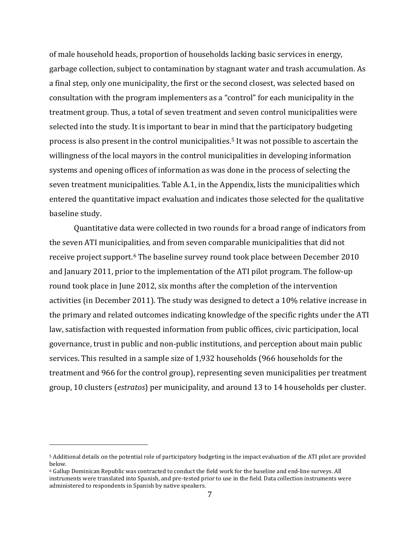of male household heads, proportion of households lacking basic services in energy, garbage collection, subject to contamination by stagnant water and trash accumulation. As a final step, only one municipality, the first or the second closest, was selected based on consultation with the program implementers as a "control" for each municipality in the treatment group. Thus, a total of seven treatment and seven control municipalities were selected into the study. It is important to bear in mind that the participatory budgeting process is also present in the control municipalities.[5](#page-8-0) It was not possible to ascertain the willingness of the local mayors in the control municipalities in developing information systems and opening offices of information as was done in the process of selecting the seven treatment municipalities. Table A.1, in the Appendix, lists the municipalities which entered the quantitative impact evaluation and indicates those selected for the qualitative baseline study.

Quantitative data were collected in two rounds for a broad range of indicators from the seven ATI municipalities, and from seven comparable municipalities that did not receive project support.[6](#page-8-1) The baseline survey round took place between December 2010 and January 2011, prior to the implementation of the ATI pilot program. The follow-up round took place in June 2012, six months after the completion of the intervention activities (in December 2011). The study was designed to detect a 10% relative increase in the primary and related outcomes indicating knowledge of the specific rights under the ATI law, satisfaction with requested information from public offices, civic participation, local governance, trust in public and non-public institutions, and perception about main public services. This resulted in a sample size of 1,932 households (966 households for the treatment and 966 for the control group), representing seven municipalities per treatment group, 10 clusters (*estratos*) per municipality, and around 13 to 14 households per cluster.

<span id="page-8-0"></span><sup>5</sup> Additional details on the potential role of participatory budgeting in the impact evaluation of the ATI pilot are provided below.

<span id="page-8-1"></span><sup>6</sup> Gallup Dominican Republic was contracted to conduct the field work for the baseline and end-line surveys. All instruments were translated into Spanish, and pre-tested prior to use in the field. Data collection instruments were administered to respondents in Spanish by native speakers.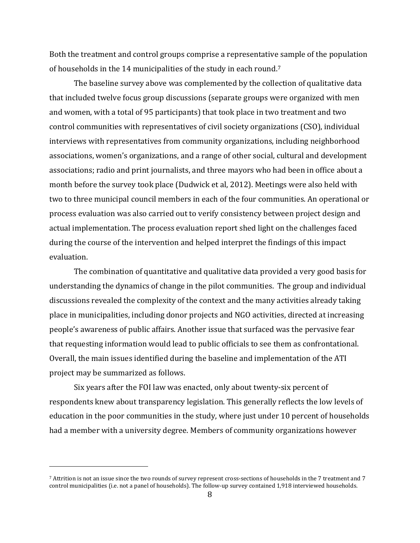Both the treatment and control groups comprise a representative sample of the population of households in the 14 municipalities of the study in each round.[7](#page-9-0)

The baseline survey above was complemented by the collection of qualitative data that included twelve focus group discussions (separate groups were organized with men and women, with a total of 95 participants) that took place in two treatment and two control communities with representatives of civil society organizations (CSO), individual interviews with representatives from community organizations, including neighborhood associations, women's organizations, and a range of other social, cultural and development associations; radio and print journalists, and three mayors who had been in office about a month before the survey took place (Dudwick et al, 2012). Meetings were also held with two to three municipal council members in each of the four communities. An operational or process evaluation was also carried out to verify consistency between project design and actual implementation. The process evaluation report shed light on the challenges faced during the course of the intervention and helped interpret the findings of this impact evaluation.

The combination of quantitative and qualitative data provided a very good basis for understanding the dynamics of change in the pilot communities. The group and individual discussions revealed the complexity of the context and the many activities already taking place in municipalities, including donor projects and NGO activities, directed at increasing people's awareness of public affairs. Another issue that surfaced was the pervasive fear that requesting information would lead to public officials to see them as confrontational. Overall, the main issues identified during the baseline and implementation of the ATI project may be summarized as follows.

Six years after the FOI law was enacted, only about twenty-six percent of respondents knew about transparency legislation. This generally reflects the low levels of education in the poor communities in the study, where just under 10 percent of households had a member with a university degree. Members of community organizations however

<span id="page-9-0"></span><sup>7</sup> Attrition is not an issue since the two rounds of survey represent cross-sections of households in the 7 treatment and 7 control municipalities (i.e. not a panel of households). The follow-up survey contained 1,918 interviewed households.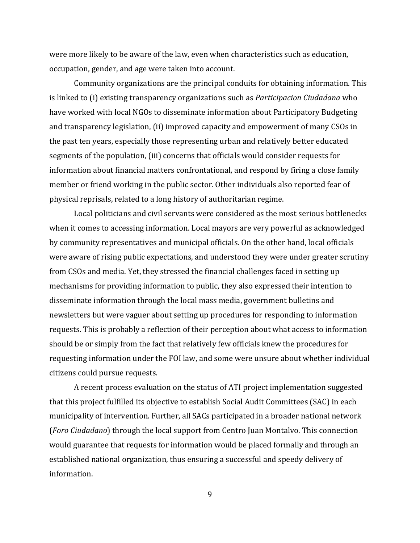were more likely to be aware of the law, even when characteristics such as education, occupation, gender, and age were taken into account.

Community organizations are the principal conduits for obtaining information. This is linked to (i) existing transparency organizations such as *Participacion Ciudadana* who have worked with local NGOs to disseminate information about Participatory Budgeting and transparency legislation, (ii) improved capacity and empowerment of many CSOs in the past ten years, especially those representing urban and relatively better educated segments of the population, (iii) concerns that officials would consider requests for information about financial matters confrontational, and respond by firing a close family member or friend working in the public sector. Other individuals also reported fear of physical reprisals, related to a long history of authoritarian regime.

Local politicians and civil servants were considered as the most serious bottlenecks when it comes to accessing information. Local mayors are very powerful as acknowledged by community representatives and municipal officials. On the other hand, local officials were aware of rising public expectations, and understood they were under greater scrutiny from CSOs and media. Yet, they stressed the financial challenges faced in setting up mechanisms for providing information to public, they also expressed their intention to disseminate information through the local mass media, government bulletins and newsletters but were vaguer about setting up procedures for responding to information requests. This is probably a reflection of their perception about what access to information should be or simply from the fact that relatively few officials knew the procedures for requesting information under the FOI law, and some were unsure about whether individual citizens could pursue requests.

A recent process evaluation on the status of ATI project implementation suggested that this project fulfilled its objective to establish Social Audit Committees (SAC) in each municipality of intervention. Further, all SACs participated in a broader national network (*Foro Ciudadano*) through the local support from Centro Juan Montalvo. This connection would guarantee that requests for information would be placed formally and through an established national organization, thus ensuring a successful and speedy delivery of information.

9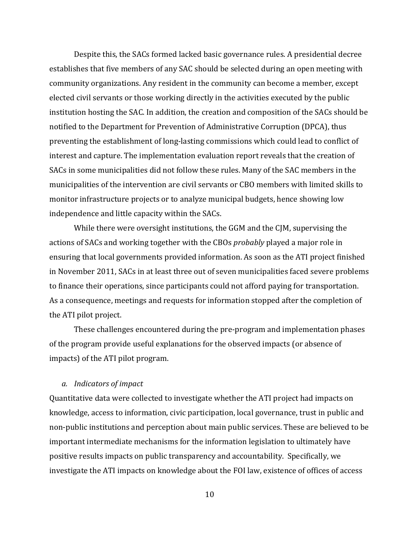Despite this, the SACs formed lacked basic governance rules. A presidential decree establishes that five members of any SAC should be selected during an open meeting with community organizations. Any resident in the community can become a member, except elected civil servants or those working directly in the activities executed by the public institution hosting the SAC. In addition, the creation and composition of the SACs should be notified to the Department for Prevention of Administrative Corruption (DPCA), thus preventing the establishment of long-lasting commissions which could lead to conflict of interest and capture. The implementation evaluation report reveals that the creation of SACs in some municipalities did not follow these rules. Many of the SAC members in the municipalities of the intervention are civil servants or CBO members with limited skills to monitor infrastructure projects or to analyze municipal budgets, hence showing low independence and little capacity within the SACs.

While there were oversight institutions, the GGM and the CJM, supervising the actions of SACs and working together with the CBOs *probably* played a major role in ensuring that local governments provided information. As soon as the ATI project finished in November 2011, SACs in at least three out of seven municipalities faced severe problems to finance their operations, since participants could not afford paying for transportation. As a consequence, meetings and requests for information stopped after the completion of the ATI pilot project.

These challenges encountered during the pre-program and implementation phases of the program provide useful explanations for the observed impacts (or absence of impacts) of the ATI pilot program.

#### *a. Indicators of impact*

Quantitative data were collected to investigate whether the ATI project had impacts on knowledge, access to information, civic participation, local governance, trust in public and non-public institutions and perception about main public services. These are believed to be important intermediate mechanisms for the information legislation to ultimately have positive results impacts on public transparency and accountability. Specifically, we investigate the ATI impacts on knowledge about the FOI law, existence of offices of access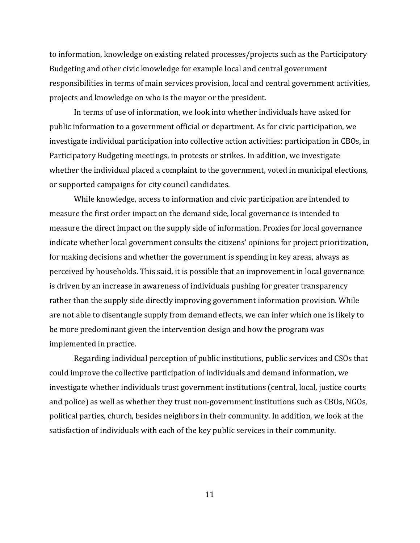to information, knowledge on existing related processes/projects such as the Participatory Budgeting and other civic knowledge for example local and central government responsibilities in terms of main services provision, local and central government activities, projects and knowledge on who is the mayor or the president.

In terms of use of information, we look into whether individuals have asked for public information to a government official or department. As for civic participation, we investigate individual participation into collective action activities: participation in CBOs, in Participatory Budgeting meetings, in protests or strikes. In addition, we investigate whether the individual placed a complaint to the government, voted in municipal elections, or supported campaigns for city council candidates.

While knowledge, access to information and civic participation are intended to measure the first order impact on the demand side, local governance is intended to measure the direct impact on the supply side of information. Proxies for local governance indicate whether local government consults the citizens' opinions for project prioritization, for making decisions and whether the government is spending in key areas, always as perceived by households. This said, it is possible that an improvement in local governance is driven by an increase in awareness of individuals pushing for greater transparency rather than the supply side directly improving government information provision. While are not able to disentangle supply from demand effects, we can infer which one is likely to be more predominant given the intervention design and how the program was implemented in practice.

Regarding individual perception of public institutions, public services and CSOs that could improve the collective participation of individuals and demand information, we investigate whether individuals trust government institutions (central, local, justice courts and police) as well as whether they trust non-government institutions such as CBOs, NGOs, political parties, church, besides neighbors in their community. In addition, we look at the satisfaction of individuals with each of the key public services in their community.

11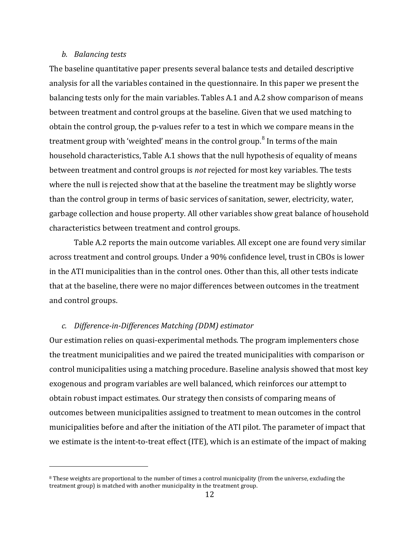#### *b. Balancing tests*

i<br>I

The baseline quantitative paper presents several balance tests and detailed descriptive analysis for all the variables contained in the questionnaire. In this paper we present the balancing tests only for the main variables. Tables A.1 and A.2 show comparison of means between treatment and control groups at the baseline. Given that we used matching to obtain the control group, the p-values refer to a test in which we compare means in the treatment group with 'weighted' means in the control group.<sup>[8](#page-13-0)</sup> In terms of the main household characteristics, Table A.1 shows that the null hypothesis of equality of means between treatment and control groups is *not* rejected for most key variables. The tests where the null is rejected show that at the baseline the treatment may be slightly worse than the control group in terms of basic services of sanitation, sewer, electricity, water, garbage collection and house property. All other variables show great balance of household characteristics between treatment and control groups.

Table A.2 reports the main outcome variables. All except one are found very similar across treatment and control groups. Under a 90% confidence level, trust in CBOs is lower in the ATI municipalities than in the control ones. Other than this, all other tests indicate that at the baseline, there were no major differences between outcomes in the treatment and control groups.

#### *c. Difference-in-Differences Matching (DDM) estimator*

Our estimation relies on quasi-experimental methods. The program implementers chose the treatment municipalities and we paired the treated municipalities with comparison or control municipalities using a matching procedure. Baseline analysis showed that most key exogenous and program variables are well balanced, which reinforces our attempt to obtain robust impact estimates. Our strategy then consists of comparing means of outcomes between municipalities assigned to treatment to mean outcomes in the control municipalities before and after the initiation of the ATI pilot. The parameter of impact that we estimate is the intent-to-treat effect (ITE), which is an estimate of the impact of making

<span id="page-13-0"></span><sup>&</sup>lt;sup>8</sup> These weights are proportional to the number of times a control municipality (from the universe, excluding the treatment group) is matched with another municipality in the treatment group.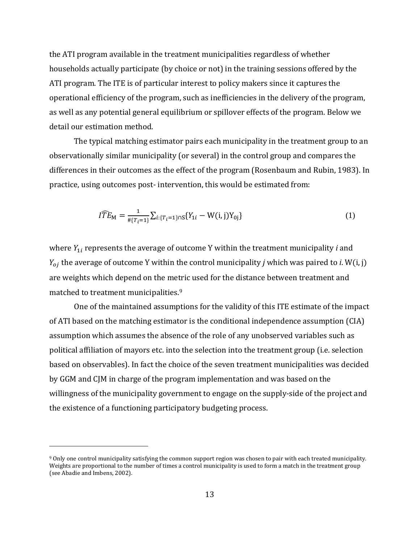the ATI program available in the treatment municipalities regardless of whether households actually participate (by choice or not) in the training sessions offered by the ATI program. The ITE is of particular interest to policy makers since it captures the operational efficiency of the program, such as inefficiencies in the delivery of the program, as well as any potential general equilibrium or spillover effects of the program. Below we detail our estimation method.

The typical matching estimator pairs each municipality in the treatment group to an observationally similar municipality (or several) in the control group and compares the differences in their outcomes as the effect of the program (Rosenbaum and Rubin, 1983). In practice, using outcomes post- intervention, this would be estimated from:

$$
\widehat{ITE}_{\mathbf{M}} = \frac{1}{\# \{T_i = 1\}} \sum_{i: \{T_i = 1\} \cap \mathcal{S}} \{Y_{1i} - \mathbf{W}(i, j)Y_{0j}\}
$$
(1)

where  $Y_{1i}$  represents the average of outcome Y within the treatment municipality *i* and  $Y_{oj}$  the average of outcome Y within the control municipality *j* which was paired to *i*. W(i, j) are weights which depend on the metric used for the distance between treatment and matched to treatment municipalities.<sup>[9](#page-14-0)</sup>

One of the maintained assumptions for the validity of this ITE estimate of the impact of ATI based on the matching estimator is the conditional independence assumption (CIA) assumption which assumes the absence of the role of any unobserved variables such as political affiliation of mayors etc. into the selection into the treatment group (i.e. selection based on observables). In fact the choice of the seven treatment municipalities was decided by GGM and CJM in charge of the program implementation and was based on the willingness of the municipality government to engage on the supply-side of the project and the existence of a functioning participatory budgeting process.

<span id="page-14-0"></span><sup>9</sup> Only one control municipality satisfying the common support region was chosen to pair with each treated municipality. Weights are proportional to the number of times a control municipality is used to form a match in the treatment group (see Abadie and Imbens, 2002).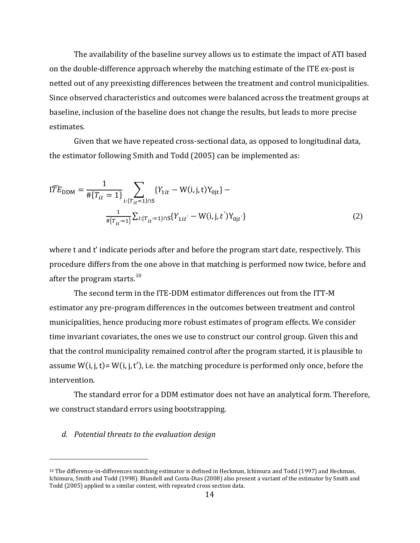The availability of the baseline survey allows us to estimate the impact of ATI based on the double-difference approach whereby the matching estimate of the ITE ex-post is netted out of any preexisting differences between the treatment and control municipalities. Since observed characteristics and outcomes were balanced across the treatment groups at baseline, inclusion of the baseline does not change the results, but leads to more precise estimates.

Given that we have repeated cross-sectional data, as opposed to longitudinal data, the estimator following Smith and Todd (2005) can be implemented as:

$$
I\widehat{TE}_{\text{DDM}} = \frac{1}{\# \{T_{it} = 1\}} \sum_{i: \{T_{it} = 1\} \cap S} \{Y_{1it} - W(i, j, t)Y_{0jt}\} - \frac{1}{\# \{T_{it} = 1\}} \sum_{i: \{T_{it} = 1\} \cap S} \{Y_{1it} - W(i, j, t')Y_{0jt'}\}
$$
\n
$$
(2)
$$

where t and t' indicate periods after and before the program start date, respectively. This procedure differs from the one above in that matching is performed now twice, before and after the program starts. $10<sup>10</sup>$  $10<sup>10</sup>$ 

The second term in the ITE-DDM estimator differences out from the ITT-M estimator any pre-program differences in the outcomes between treatment and control municipalities, hence producing more robust estimates of program effects. We consider time invariant covariates, the ones we use to construct our control group. Given this and that the control municipality remained control after the program started, it is plausible to assume  $W(i, j, t)$ =  $W(i, j, t')$ , i.e. the matching procedure is performed only once, before the intervention.

The standard error for a DDM estimator does not have an analytical form. Therefore, we construct standard errors using bootstrapping.

#### *d. Potential threats to the evaluation design*

<span id="page-15-0"></span><sup>&</sup>lt;sup>10</sup> The difference-in-differences matching estimator is defined in Heckman, Ichimura and Todd (1997) and Heckman, Ichimura, Smith and Todd (1998). Blundell and Costa-Dias (2008) also present a variant of the estimator by Smith and Todd (2005) applied to a similar context, with repeated cross section data.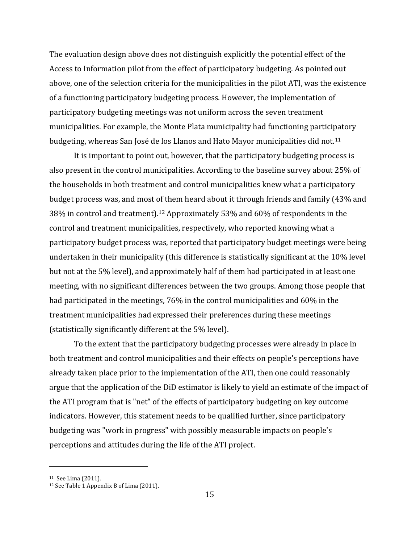The evaluation design above does not distinguish explicitly the potential effect of the Access to Information pilot from the effect of participatory budgeting. As pointed out above, one of the selection criteria for the municipalities in the pilot ATI, was the existence of a functioning participatory budgeting process. However, the implementation of participatory budgeting meetings was not uniform across the seven treatment municipalities. For example, the Monte Plata municipality had functioning partici[pa](#page-16-0)tory budgeting, whereas San José de los Llanos and Hato Mayor municipalities did not. 11

It is important to point out, however, that the participatory budgeting process is also present in the control municipalities. According to the baseline survey about 25% of the households in both treatment and control municipalities knew what a participatory budget process was, and most [of t](#page-16-1)hem heard about it through friends and family (43% and 38% in control and treatment). <sup>12</sup> Approximately 53% and 60% of respondents in the control and treatment municipalities, respectively, who reported knowing what a participatory budget process was, reported that participatory budget meetings were being undertaken in their municipality (this difference is statistically significant at the 10% level but not at the 5% level), and approximately half of them had participated in at least one meeting, with no significant differences between the two groups. Among those people that had participated in the meetings, 76% in the control municipalities and 60% in the treatment municipalities had expressed their preferences during these meetings (statistically significantly different at the 5% level).

To the extent that the participatory budgeting processes were already in place in both treatment and control municipalities and their effects on people's perceptions have already taken place prior to the implementation of the ATI, then one could reasonably argue that the application of the DiD estimator is likely to yield an estimate of the impact of the ATI program that is "net" of the effects of participatory budgeting on key outcome indicators. However, this statement needs to be qualified further, since participatory budgeting was "work in progress" with possibly measurable impacts on people's perceptions and attitudes during the life of the ATI project.

<span id="page-16-0"></span><sup>11</sup> See Lima (2011).

<span id="page-16-1"></span><sup>12</sup> See Table 1 Appendix B of Lima (2011).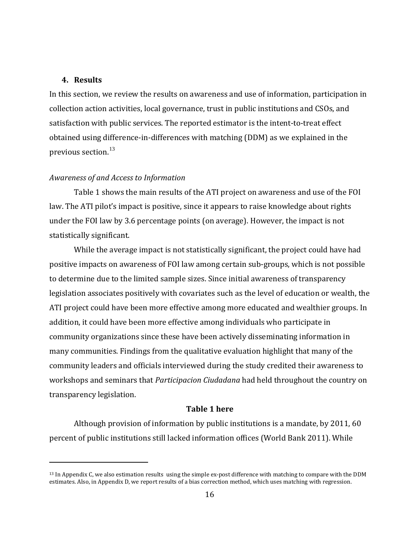#### **4. Results**

i<br>I

In this section, we review the results on awareness and use of information, participation in collection action activities, local governance, trust in public institutions and CSOs, and satisfaction with public services. The reported estimator is the intent-to-treat effect obtained using difference-in-differences with matching (DDM) as we explained in the previous section. $13$ 

#### *Awareness of and Access to Information*

Table 1 shows the main results of the ATI project on awareness and use of the FOI law. The ATI pilot's impact is positive, since it appears to raise knowledge about rights under the FOI law by 3.6 percentage points (on average). However, the impact is not statistically significant.

While the average impact is not statistically significant, the project could have had positive impacts on awareness of FOI law among certain sub-groups, which is not possible to determine due to the limited sample sizes. Since initial awareness of transparency legislation associates positively with covariates such as the level of education or wealth, the ATI project could have been more effective among more educated and wealthier groups. In addition, it could have been more effective among individuals who participate in community organizations since these have been actively disseminating information in many communities. Findings from the qualitative evaluation highlight that many of the community leaders and officials interviewed during the study credited their awareness to workshops and seminars that *Participacion Ciudadana* had held throughout the country on transparency legislation.

#### **Table 1 here**

Although provision of information by public institutions is a mandate, by 2011, 60 percent of public institutions still lacked information offices (World Bank 2011). While

<span id="page-17-0"></span><sup>13</sup> In Appendix C, we also estimation results using the simple ex-post difference with matching to compare with the DDM estimates. Also, in Appendix D, we report results of a bias correction method, which uses matching with regression.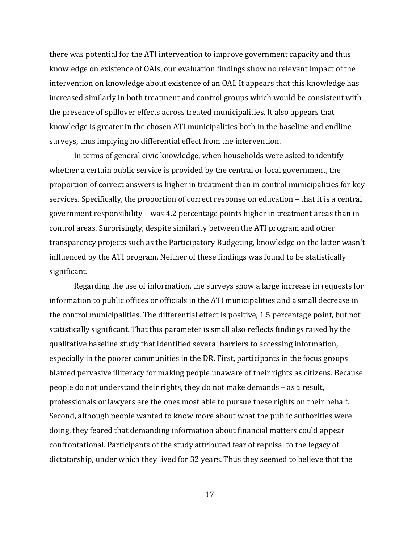there was potential for the ATI intervention to improve government capacity and thus knowledge on existence of OAIs, our evaluation findings show no relevant impact of the intervention on knowledge about existence of an OAI. It appears that this knowledge has increased similarly in both treatment and control groups which would be consistent with the presence of spillover effects across treated municipalities. It also appears that knowledge is greater in the chosen ATI municipalities both in the baseline and endline surveys, thus implying no differential effect from the intervention.

In terms of general civic knowledge, when households were asked to identify whether a certain public service is provided by the central or local government, the proportion of correct answers is higher in treatment than in control municipalities for key services. Specifically, the proportion of correct response on education – that it is a central government responsibility – was 4.2 percentage points higher in treatment areas than in control areas. Surprisingly, despite similarity between the ATI program and other transparency projects such as the Participatory Budgeting, knowledge on the latter wasn't influenced by the ATI program. Neither of these findings was found to be statistically significant.

Regarding the use of information, the surveys show a large increase in requests for information to public offices or officials in the ATI municipalities and a small decrease in the control municipalities. The differential effect is positive, 1.5 percentage point, but not statistically significant. That this parameter is small also reflects findings raised by the qualitative baseline study that identified several barriers to accessing information, especially in the poorer communities in the DR. First, participants in the focus groups blamed pervasive illiteracy for making people unaware of their rights as citizens. Because people do not understand their rights, they do not make demands – as a result, professionals or lawyers are the ones most able to pursue these rights on their behalf. Second, although people wanted to know more about what the public authorities were doing, they feared that demanding information about financial matters could appear confrontational. Participants of the study attributed fear of reprisal to the legacy of dictatorship, under which they lived for 32 years. Thus they seemed to believe that the

17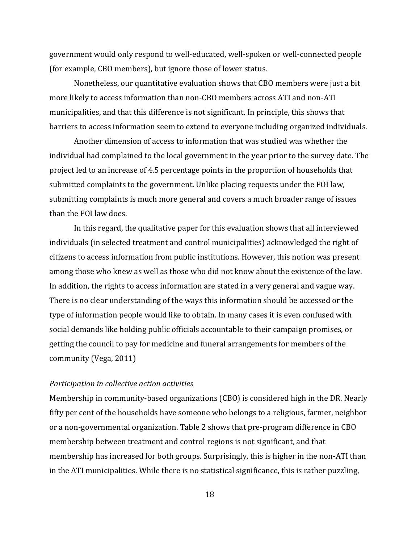government would only respond to well-educated, well-spoken or well-connected people (for example, CBO members), but ignore those of lower status.

Nonetheless, our quantitative evaluation shows that CBO members were just a bit more likely to access information than non-CBO members across ATI and non-ATI municipalities, and that this difference is not significant. In principle, this shows that barriers to access information seem to extend to everyone including organized individuals.

Another dimension of access to information that was studied was whether the individual had complained to the local government in the year prior to the survey date. The project led to an increase of 4.5 percentage points in the proportion of households that submitted complaints to the government. Unlike placing requests under the FOI law, submitting complaints is much more general and covers a much broader range of issues than the FOI law does.

In this regard, the qualitative paper for this evaluation shows that all interviewed individuals (in selected treatment and control municipalities) acknowledged the right of citizens to access information from public institutions. However, this notion was present among those who knew as well as those who did not know about the existence of the law. In addition, the rights to access information are stated in a very general and vague way. There is no clear understanding of the ways this information should be accessed or the type of information people would like to obtain. In many cases it is even confused with social demands like holding public officials accountable to their campaign promises, or getting the council to pay for medicine and funeral arrangements for members of the community (Vega, 2011)

#### *Participation in collective action activities*

Membership in community-based organizations (CBO) is considered high in the DR. Nearly fifty per cent of the households have someone who belongs to a religious, farmer, neighbor or a non-governmental organization. Table 2 shows that pre-program difference in CBO membership between treatment and control regions is not significant, and that membership has increased for both groups. Surprisingly, this is higher in the non-ATI than in the ATI municipalities. While there is no statistical significance, this is rather puzzling,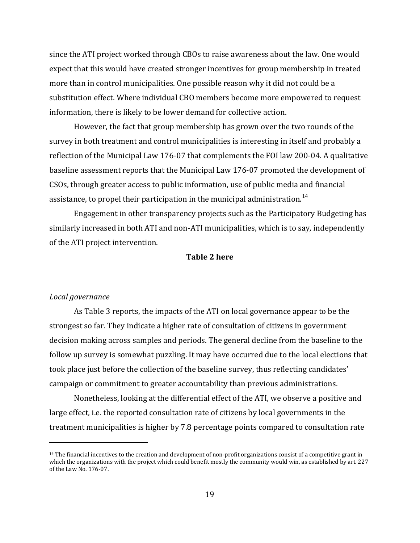since the ATI project worked through CBOs to raise awareness about the law. One would expect that this would have created stronger incentives for group membership in treated more than in control municipalities. One possible reason why it did not could be a substitution effect. Where individual CBO members become more empowered to request information, there is likely to be lower demand for collective action.

However, the fact that group membership has grown over the two rounds of the survey in both treatment and control municipalities is interesting in itself and probably a reflection of the Municipal Law 176-07 that complements the FOI law 200-04. A qualitative baseline assessment reports that the Municipal Law 176-07 promoted the development of CSOs, through greater access to public information, use of public media and financial assistance, to propel their participation in the municipal administration.<sup>[14](#page-20-0)</sup>

Engagement in other transparency projects such as the Participatory Budgeting has similarly increased in both ATI and non-ATI municipalities, which is to say, independently of the ATI project intervention.

#### **Table 2 here**

#### *Local governance*

i<br>I

As Table 3 reports, the impacts of the ATI on local governance appear to be the strongest so far. They indicate a higher rate of consultation of citizens in government decision making across samples and periods. The general decline from the baseline to the follow up survey is somewhat puzzling. It may have occurred due to the local elections that took place just before the collection of the baseline survey, thus reflecting candidates' campaign or commitment to greater accountability than previous administrations.

Nonetheless, looking at the differential effect of the ATI, we observe a positive and large effect, i.e. the reported consultation rate of citizens by local governments in the treatment municipalities is higher by 7.8 percentage points compared to consultation rate

<span id="page-20-0"></span> $14$  The financial incentives to the creation and development of non-profit organizations consist of a competitive grant in which the organizations with the project which could benefit mostly the community would win, as established by art. 227 of the Law No. 176-07.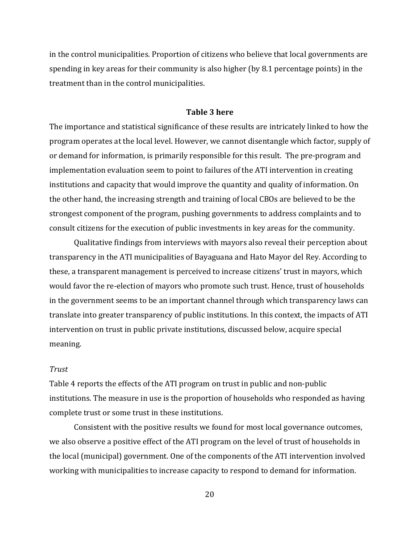in the control municipalities. Proportion of citizens who believe that local governments are spending in key areas for their community is also higher (by 8.1 percentage points) in the treatment than in the control municipalities.

#### **Table 3 here**

The importance and statistical significance of these results are intricately linked to how the program operates at the local level. However, we cannot disentangle which factor, supply of or demand for information, is primarily responsible for this result. The pre-program and implementation evaluation seem to point to failures of the ATI intervention in creating institutions and capacity that would improve the quantity and quality of information. On the other hand, the increasing strength and training of local CBOs are believed to be the strongest component of the program, pushing governments to address complaints and to consult citizens for the execution of public investments in key areas for the community.

Qualitative findings from interviews with mayors also reveal their perception about transparency in the ATI municipalities of Bayaguana and Hato Mayor del Rey. According to these, a transparent management is perceived to increase citizens' trust in mayors, which would favor the re-election of mayors who promote such trust. Hence, trust of households in the government seems to be an important channel through which transparency laws can translate into greater transparency of public institutions. In this context, the impacts of ATI intervention on trust in public private institutions, discussed below, acquire special meaning.

#### *Trust*

Table 4 reports the effects of the ATI program on trust in public and non-public institutions. The measure in use is the proportion of households who responded as having complete trust or some trust in these institutions.

Consistent with the positive results we found for most local governance outcomes, we also observe a positive effect of the ATI program on the level of trust of households in the local (municipal) government. One of the components of the ATI intervention involved working with municipalities to increase capacity to respond to demand for information.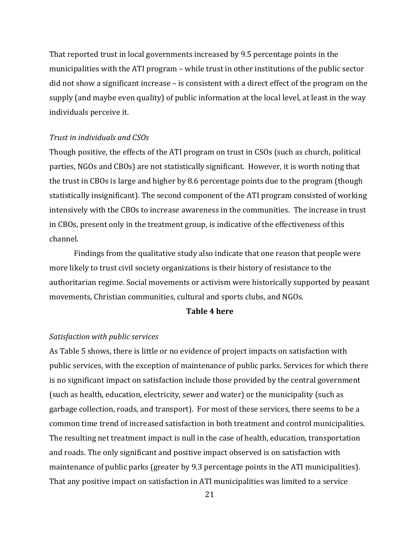That reported trust in local governments increased by 9.5 percentage points in the municipalities with the ATI program – while trust in other institutions of the public sector did not show a significant increase – is consistent with a direct effect of the program on the supply (and maybe even quality) of public information at the local level, at least in the way individuals perceive it.

#### *Trust in individuals and CSOs*

Though positive, the effects of the ATI program on trust in CSOs (such as church, political parties, NGOs and CBOs) are not statistically significant. However, it is worth noting that the trust in CBOs is large and higher by 8.6 percentage points due to the program (though statistically insignificant). The second component of the ATI program consisted of working intensively with the CBOs to increase awareness in the communities. The increase in trust in CBOs, present only in the treatment group, is indicative of the effectiveness of this channel.

Findings from the qualitative study also indicate that one reason that people were more likely to trust civil society organizations is their history of resistance to the authoritarian regime. Social movements or activism were historically supported by peasant movements, Christian communities, cultural and sports clubs, and NGOs.

#### **Table 4 here**

#### *Satisfaction with public services*

As Table 5 shows, there is little or no evidence of project impacts on satisfaction with public services, with the exception of maintenance of public parks. Services for which there is no significant impact on satisfaction include those provided by the central government (such as health, education, electricity, sewer and water) or the municipality (such as garbage collection, roads, and transport). For most of these services, there seems to be a common time trend of increased satisfaction in both treatment and control municipalities. The resulting net treatment impact is null in the case of health, education, transportation and roads. The only significant and positive impact observed is on satisfaction with maintenance of public parks (greater by 9.3 percentage points in the ATI municipalities). That any positive impact on satisfaction in ATI municipalities was limited to a service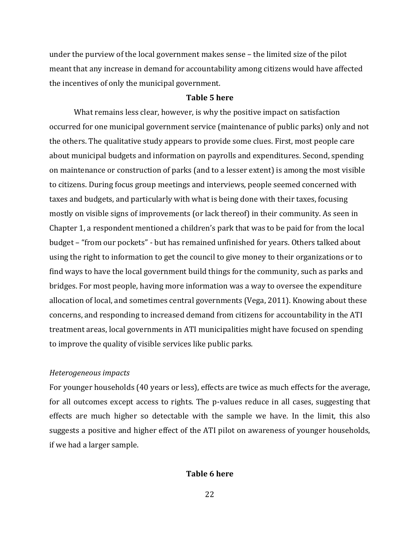under the purview of the local government makes sense – the limited size of the pilot meant that any increase in demand for accountability among citizens would have affected the incentives of only the municipal government.

#### **Table 5 here**

What remains less clear, however, is why the positive impact on satisfaction occurred for one municipal government service (maintenance of public parks) only and not the others. The qualitative study appears to provide some clues. First, most people care about municipal budgets and information on payrolls and expenditures. Second, spending on maintenance or construction of parks (and to a lesser extent) is among the most visible to citizens. During focus group meetings and interviews, people seemed concerned with taxes and budgets, and particularly with what is being done with their taxes, focusing mostly on visible signs of improvements (or lack thereof) in their community. As seen in Chapter 1, a respondent mentioned a children's park that was to be paid for from the local budget – "from our pockets" - but has remained unfinished for years. Others talked about using the right to information to get the council to give money to their organizations or to find ways to have the local government build things for the community, such as parks and bridges. For most people, having more information was a way to oversee the expenditure allocation of local, and sometimes central governments (Vega, 2011). Knowing about these concerns, and responding to increased demand from citizens for accountability in the ATI treatment areas, local governments in ATI municipalities might have focused on spending to improve the quality of visible services like public parks.

#### *Heterogeneous impacts*

For younger households (40 years or less), effects are twice as much effects for the average, for all outcomes except access to rights. The p-values reduce in all cases, suggesting that effects are much higher so detectable with the sample we have. In the limit, this also suggests a positive and higher effect of the ATI pilot on awareness of younger households, if we had a larger sample.

#### **Table 6 here**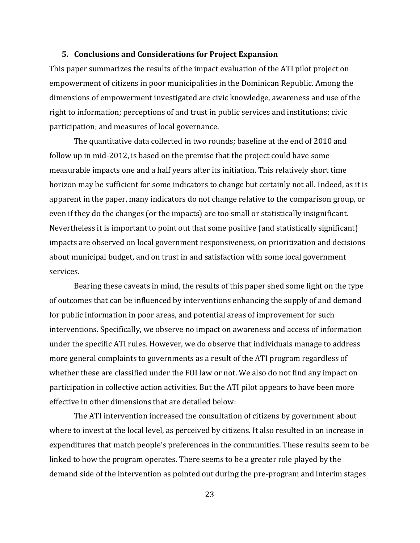#### **5. Conclusions and Considerations for Project Expansion**

This paper summarizes the results of the impact evaluation of the ATI pilot project on empowerment of citizens in poor municipalities in the Dominican Republic. Among the dimensions of empowerment investigated are civic knowledge, awareness and use of the right to information; perceptions of and trust in public services and institutions; civic participation; and measures of local governance.

The quantitative data collected in two rounds; baseline at the end of 2010 and follow up in mid-2012, is based on the premise that the project could have some measurable impacts one and a half years after its initiation. This relatively short time horizon may be sufficient for some indicators to change but certainly not all. Indeed, as it is apparent in the paper, many indicators do not change relative to the comparison group, or even if they do the changes (or the impacts) are too small or statistically insignificant. Nevertheless it is important to point out that some positive (and statistically significant) impacts are observed on local government responsiveness, on prioritization and decisions about municipal budget, and on trust in and satisfaction with some local government services.

Bearing these caveats in mind, the results of this paper shed some light on the type of outcomes that can be influenced by interventions enhancing the supply of and demand for public information in poor areas, and potential areas of improvement for such interventions. Specifically, we observe no impact on awareness and access of information under the specific ATI rules. However, we do observe that individuals manage to address more general complaints to governments as a result of the ATI program regardless of whether these are classified under the FOI law or not. We also do not find any impact on participation in collective action activities. But the ATI pilot appears to have been more effective in other dimensions that are detailed below:

The ATI intervention increased the consultation of citizens by government about where to invest at the local level, as perceived by citizens. It also resulted in an increase in expenditures that match people's preferences in the communities. These results seem to be linked to how the program operates. There seems to be a greater role played by the demand side of the intervention as pointed out during the pre-program and interim stages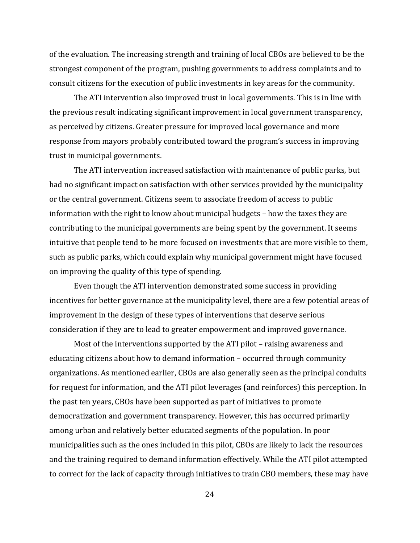of the evaluation. The increasing strength and training of local CBOs are believed to be the strongest component of the program, pushing governments to address complaints and to consult citizens for the execution of public investments in key areas for the community.

The ATI intervention also improved trust in local governments. This is in line with the previous result indicating significant improvement in local government transparency, as perceived by citizens. Greater pressure for improved local governance and more response from mayors probably contributed toward the program's success in improving trust in municipal governments.

The ATI intervention increased satisfaction with maintenance of public parks, but had no significant impact on satisfaction with other services provided by the municipality or the central government. Citizens seem to associate freedom of access to public information with the right to know about municipal budgets – how the taxes they are contributing to the municipal governments are being spent by the government. It seems intuitive that people tend to be more focused on investments that are more visible to them, such as public parks, which could explain why municipal government might have focused on improving the quality of this type of spending.

Even though the ATI intervention demonstrated some success in providing incentives for better governance at the municipality level, there are a few potential areas of improvement in the design of these types of interventions that deserve serious consideration if they are to lead to greater empowerment and improved governance.

Most of the interventions supported by the ATI pilot – raising awareness and educating citizens about how to demand information – occurred through community organizations. As mentioned earlier, CBOs are also generally seen as the principal conduits for request for information, and the ATI pilot leverages (and reinforces) this perception. In the past ten years, CBOs have been supported as part of initiatives to promote democratization and government transparency. However, this has occurred primarily among urban and relatively better educated segments of the population. In poor municipalities such as the ones included in this pilot, CBOs are likely to lack the resources and the training required to demand information effectively. While the ATI pilot attempted to correct for the lack of capacity through initiatives to train CBO members, these may have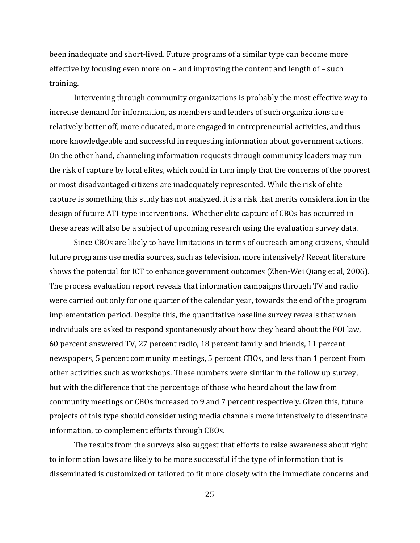been inadequate and short-lived. Future programs of a similar type can become more effective by focusing even more on – and improving the content and length of – such training.

Intervening through community organizations is probably the most effective way to increase demand for information, as members and leaders of such organizations are relatively better off, more educated, more engaged in entrepreneurial activities, and thus more knowledgeable and successful in requesting information about government actions. On the other hand, channeling information requests through community leaders may run the risk of capture by local elites, which could in turn imply that the concerns of the poorest or most disadvantaged citizens are inadequately represented. While the risk of elite capture is something this study has not analyzed, it is a risk that merits consideration in the design of future ATI-type interventions. Whether elite capture of CBOs has occurred in these areas will also be a subject of upcoming research using the evaluation survey data.

Since CBOs are likely to have limitations in terms of outreach among citizens, should future programs use media sources, such as television, more intensively? Recent literature shows the potential for ICT to enhance government outcomes (Zhen-Wei Qiang et al, 2006). The process evaluation report reveals that information campaigns through TV and radio were carried out only for one quarter of the calendar year, towards the end of the program implementation period. Despite this, the quantitative baseline survey reveals that when individuals are asked to respond spontaneously about how they heard about the FOI law, 60 percent answered TV, 27 percent radio, 18 percent family and friends, 11 percent newspapers, 5 percent community meetings, 5 percent CBOs, and less than 1 percent from other activities such as workshops. These numbers were similar in the follow up survey, but with the difference that the percentage of those who heard about the law from community meetings or CBOs increased to 9 and 7 percent respectively. Given this, future projects of this type should consider using media channels more intensively to disseminate information, to complement efforts through CBOs.

The results from the surveys also suggest that efforts to raise awareness about right to information laws are likely to be more successful if the type of information that is disseminated is customized or tailored to fit more closely with the immediate concerns and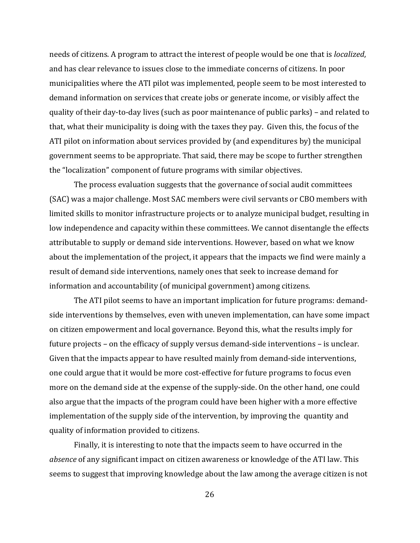needs of citizens. A program to attract the interest of people would be one that is *localized*, and has clear relevance to issues close to the immediate concerns of citizens. In poor municipalities where the ATI pilot was implemented, people seem to be most interested to demand information on services that create jobs or generate income, or visibly affect the quality of their day-to-day lives (such as poor maintenance of public parks) – and related to that, what their municipality is doing with the taxes they pay. Given this, the focus of the ATI pilot on information about services provided by (and expenditures by) the municipal government seems to be appropriate. That said, there may be scope to further strengthen the "localization" component of future programs with similar objectives.

The process evaluation suggests that the governance of social audit committees (SAC) was a major challenge. Most SAC members were civil servants or CBO members with limited skills to monitor infrastructure projects or to analyze municipal budget, resulting in low independence and capacity within these committees. We cannot disentangle the effects attributable to supply or demand side interventions. However, based on what we know about the implementation of the project, it appears that the impacts we find were mainly a result of demand side interventions, namely ones that seek to increase demand for information and accountability (of municipal government) among citizens.

The ATI pilot seems to have an important implication for future programs: demandside interventions by themselves, even with uneven implementation, can have some impact on citizen empowerment and local governance. Beyond this, what the results imply for future projects – on the efficacy of supply versus demand-side interventions – is unclear. Given that the impacts appear to have resulted mainly from demand-side interventions, one could argue that it would be more cost-effective for future programs to focus even more on the demand side at the expense of the supply-side. On the other hand, one could also argue that the impacts of the program could have been higher with a more effective implementation of the supply side of the intervention, by improving the quantity and quality of information provided to citizens.

Finally, it is interesting to note that the impacts seem to have occurred in the *absence* of any significant impact on citizen awareness or knowledge of the ATI law. This seems to suggest that improving knowledge about the law among the average citizen is not

26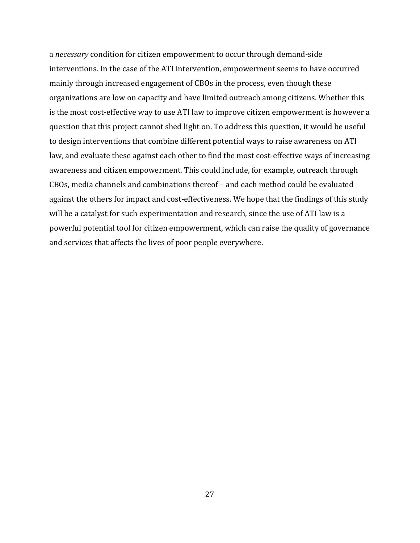a *necessary* condition for citizen empowerment to occur through demand-side interventions. In the case of the ATI intervention, empowerment seems to have occurred mainly through increased engagement of CBOs in the process, even though these organizations are low on capacity and have limited outreach among citizens. Whether this is the most cost-effective way to use ATI law to improve citizen empowerment is however a question that this project cannot shed light on. To address this question, it would be useful to design interventions that combine different potential ways to raise awareness on ATI law, and evaluate these against each other to find the most cost-effective ways of increasing awareness and citizen empowerment. This could include, for example, outreach through CBOs, media channels and combinations thereof – and each method could be evaluated against the others for impact and cost-effectiveness. We hope that the findings of this study will be a catalyst for such experimentation and research, since the use of ATI law is a powerful potential tool for citizen empowerment, which can raise the quality of governance and services that affects the lives of poor people everywhere.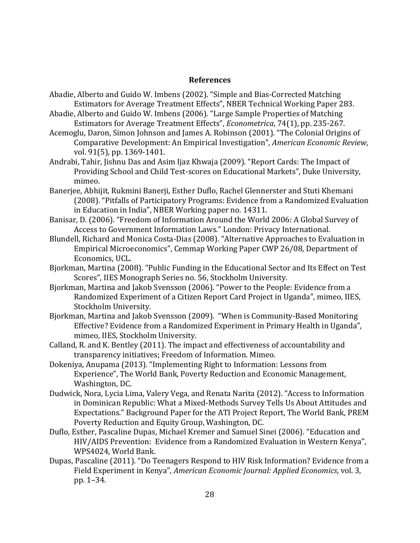#### **References**

- Abadie, Alberto and Guido W. Imbens (2002). "Simple and Bias-Corrected Matching Estimators for Average Treatment Effects", NBER Technical Working Paper 283.
- Abadie, Alberto and Guido W. Imbens (2006). "Large Sample Properties of Matching Estimators for Average Treatment Effects", *Econometrica*, 74(1), pp. 235-267.
- Acemoglu, Daron, Simon Johnson and James A. Robinson (2001). "The Colonial Origins of Comparative Development: An Empirical Investigation", *American Economic Review*, vol. 91(5), pp. 1369-1401.
- Andrabi, Tahir, Jishnu Das and Asim Ijaz Khwaja (2009). "Report Cards: The Impact of Providing School and Child Test-scores on Educational Markets", Duke University, mimeo.
- Banerjee, Abhijit, Rukmini Banerji, Esther Duflo, Rachel Glennerster and Stuti Khemani (2008). "Pitfalls of Participatory Programs: Evidence from a Randomized Evaluation in Education in India", NBER Working paper no. 14311.
- Banisar, D. (2006). "Freedom of Information Around the World 2006: A Global Survey of Access to Government Information Laws." London: Privacy International.
- Blundell, Richard and Monica Costa-Dias (2008). "Alternative Approaches to Evaluation in Empirical Microeconomics", Cemmap Working Paper CWP 26/08, Department of Economics, UCL.
- Bjorkman, Martina (2008). "Public Funding in the Educational Sector and Its Effect on Test Scores", IIES Monograph Series no. 56, Stockholm University.
- Bjorkman, Martina and Jakob Svensson (2006). "Power to the People: Evidence from a Randomized Experiment of a Citizen Report Card Project in Uganda", mimeo, IIES, Stockholm University.
- Bjorkman, Martina and Jakob Svensson (2009). "When is Community-Based Monitoring Effective? Evidence from a Randomized Experiment in Primary Health in Uganda", mimeo, IIES, Stockholm University.
- Calland, R. and K. Bentley (2011). The impact and effectiveness of accountability and transparency initiatives; Freedom of Information. Mimeo.
- Dokeniya, Anupama (2013). "Implementing Right to Information: Lessons from Experience", The World Bank, Poverty Reduction and Economic Management, Washington, DC.
- Dudwick, Nora, Lycia Lima, Valery Vega, and Renata Narita (2012). "Access to Information in Dominican Republic: What a Mixed-Methods Survey Tells Us About Attitudes and Expectations." Background Paper for the ATI Project Report, The World Bank, PREM Poverty Reduction and Equity Group, Washington, DC.
- Duflo, Esther, Pascaline Dupas, Michael Kremer and Samuel Sinei (2006). "Education and HIV/AIDS Prevention: Evidence from a Randomized Evaluation in Western Kenya", WPS4024, World Bank.
- Dupas, Pascaline (2011). "Do Teenagers Respond to HIV Risk Information? Evidence from a Field Experiment in Kenya", *American Economic Journal: Applied Economics*, vol. 3, pp. 1–34.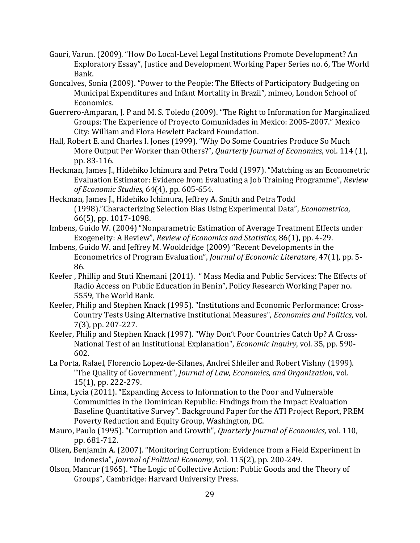- Gauri, Varun. (2009). "How Do Local-Level Legal Institutions Promote Development? An Exploratory Essay", Justice and Development Working Paper Series no. 6, The World Bank.
- Goncalves, Sonia (2009). "Power to the People: The Effects of Participatory Budgeting on Municipal Expenditures and Infant Mortality in Brazil", mimeo, London School of Economics.
- Guerrero-Amparan, J. P and M. S. Toledo (2009). "The Right to Information for Marginalized Groups: The Experience of Proyecto Comunidades in Mexico: 2005-2007." Mexico City: William and Flora Hewlett Packard Foundation.
- Hall, Robert E. and Charles I. Jones (1999). "Why Do Some Countries Produce So Much More Output Per Worker than Others?", *Quarterly Journal of Economics*, vol. 114 (1), pp. 83-116.
- Heckman, James J., Hidehiko Ichimura and Petra Todd (1997). "Matching as an Econometric Evaluation Estimator: Evidence from Evaluating a Job Training Programme", *Review of Economic Studies*, 64(4), pp. 605-654.
- Heckman, James J., Hidehiko Ichimura, Jeffrey A. Smith and Petra Todd (1998)."Characterizing Selection Bias Using Experimental Data", *Econometrica*, 66(5), pp. 1017-1098.
- Imbens, Guido W. (2004) "Nonparametric Estimation of Average Treatment Effects under Exogeneity: A Review", *Review of Economics and Statistics*, 86(1), pp. 4-29.
- Imbens, Guido W. and Jeffrey M. Wooldridge (2009) "Recent Developments in the Econometrics of Program Evaluation", *Journal of Economic Literature,* 47(1), pp. 5- 86.
- Keefer , Phillip and Stuti Khemani (2011). " Mass Media and Public Services: The Effects of Radio Access on Public Education in Benin", Policy Research Working Paper no. 5559, The World Bank.
- Keefer, Philip and Stephen Knack (1995). "Institutions and Economic Performance: Cross-Country Tests Using Alternative Institutional Measures", *Economics and Politics*, vol. 7(3), pp. 207-227.
- Keefer, Philip and Stephen Knack (1997). "Why Don't Poor Countries Catch Up? A Cross-National Test of an Institutional Explanation", *Economic Inquiry*, vol. 35, pp. 590- 602.
- La Porta, Rafael, Florencio Lopez-de-Silanes, Andrei Shleifer and Robert Vishny (1999). "The Quality of Government", *Journal of Law, Economics, and Organization*, vol. 15(1), pp. 222-279.
- Lima, Lycia (2011). "Expanding Access to Information to the Poor and Vulnerable Communities in the Dominican Republic: Findings from the Impact Evaluation Baseline Quantitative Survey". Background Paper for the ATI Project Report, PREM Poverty Reduction and Equity Group, Washington, DC.
- Mauro, Paulo (1995). "Corruption and Growth", *Quarterly Journal of Economics,* vol. 110, pp. 681-712.
- Olken, Benjamin A. (2007). "Monitoring Corruption: Evidence from a Field Experiment in Indonesia", *Journal of Political Economy*, vol. 115(2), pp. 200-249.
- Olson, Mancur (1965). "The Logic of Collective Action: Public Goods and the Theory of Groups", Cambridge: Harvard University Press.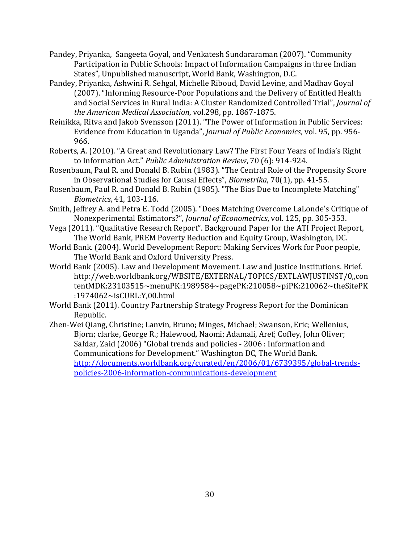- Pandey, Priyanka, Sangeeta Goyal, and Venkatesh Sundararaman (2007). "Community Participation in Public Schools: Impact of Information Campaigns in three Indian States", Unpublished manuscript, World Bank, Washington, D.C.
- Pandey, Priyanka, Ashwini R. Sehgal, Michelle Riboud, David Levine, and Madhav Goyal (2007). "Informing Resource-Poor Populations and the Delivery of Entitled Health and Social Services in Rural India: A Cluster Randomized Controlled Trial", *Journal of the American Medical Association*, vol.298, pp. 1867-1875.
- Reinikka, Ritva and Jakob Svensson (2011). "The Power of Information in Public Services: Evidence from Education in Uganda", *Journal of Public Economics*, vol. 95, pp. 956- 966.
- Roberts, A. (2010). "A Great and Revolutionary Law? The First Four Years of India's Right to Information Act." *Public Administration Review*, 70 (6): 914-924.
- Rosenbaum, Paul R. and Donald B. Rubin (1983). "The Central Role of the Propensity Score in Observational Studies for Causal Effects", *Biometrika*, 70(1), pp. 41-55.
- Rosenbaum, Paul R. and Donald B. Rubin (1985). "The Bias Due to Incomplete Matching" *Biometrics*, 41, 103-116.
- Smith, Jeffrey A. and Petra E. Todd (2005). "Does Matching Overcome LaLonde's Critique of Nonexperimental Estimators?", *Journal of Econometrics*, vol. 125, pp. 305-353.
- Vega (2011). "Qualitative Research Report". Background Paper for the ATI Project Report, The World Bank, PREM Poverty Reduction and Equity Group, Washington, DC.
- World Bank. (2004). World Development Report: Making Services Work for Poor people, The World Bank and Oxford University Press.
- World Bank (2005). Law and Development Movement. Law and Justice Institutions. Brief. [http://web.worldbank.org/WBSITE/EXTERNAL/TOPICS/EXTLAWJUSTINST/0,,con](http://web.worldbank.org/WBSITE/EXTERNAL/TOPICS/EXTLAWJUSTINST/0,,contentMDK:23103515%7EmenuPK:1989584%7EpagePK:210058%7EpiPK:210062%7EtheSitePK:1974062%7EisCURL:Y,00.html) [tentMDK:23103515~menuPK:1989584~pagePK:210058~piPK:210062~theSitePK](http://web.worldbank.org/WBSITE/EXTERNAL/TOPICS/EXTLAWJUSTINST/0,,contentMDK:23103515%7EmenuPK:1989584%7EpagePK:210058%7EpiPK:210062%7EtheSitePK:1974062%7EisCURL:Y,00.html) [:1974062~isCURL:Y,00.html](http://web.worldbank.org/WBSITE/EXTERNAL/TOPICS/EXTLAWJUSTINST/0,,contentMDK:23103515%7EmenuPK:1989584%7EpagePK:210058%7EpiPK:210062%7EtheSitePK:1974062%7EisCURL:Y,00.html)
- World Bank (2011). Country Partnership Strategy Progress Report for the Dominican Republic.
- Zhen-Wei Qiang, Christine; Lanvin, Bruno; Minges, Michael; Swanson, Eric; Wellenius, Bjorn; clarke, George R.; Halewood, Naomi; Adamali, Aref; Coffey, John Oliver; Safdar, Zaid (2006) "Global trends and policies - 2006 : Information and Communications for Development." Washington DC, The World Bank. [http://documents.worldbank.org/curated/en/2006/01/6739395/global-trends](http://documents.worldbank.org/curated/en/2006/01/6739395/global-trends-policies-2006-information-communications-development)[policies-2006-information-communications-development](http://documents.worldbank.org/curated/en/2006/01/6739395/global-trends-policies-2006-information-communications-development)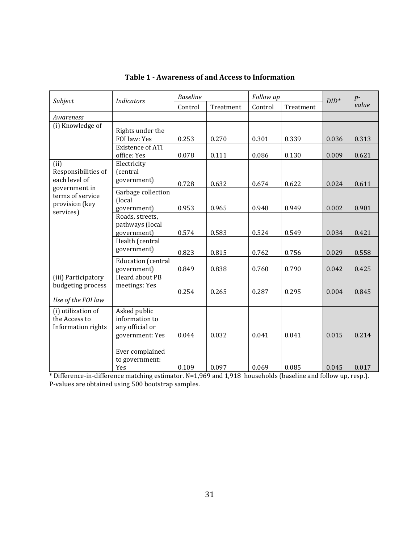|                                                                  | <b>Indicators</b>                                                          | <b>Baseline</b> |                | Follow up      |                | $DID^*$        | $p-$           |
|------------------------------------------------------------------|----------------------------------------------------------------------------|-----------------|----------------|----------------|----------------|----------------|----------------|
| Subject                                                          |                                                                            | Control         | Treatment      | Control        | Treatment      |                | value          |
| Awareness                                                        |                                                                            |                 |                |                |                |                |                |
| (i) Knowledge of                                                 | Rights under the<br>FOI law: Yes<br><b>Existence of ATI</b><br>office: Yes | 0.253<br>0.078  | 0.270<br>0.111 | 0.301<br>0.086 | 0.339<br>0.130 | 0.036<br>0.009 | 0.313<br>0.621 |
| (ii)<br>Responsibilities of<br>each level of                     | Electricity<br>(central<br>government)                                     | 0.728           | 0.632          | 0.674          | 0.622          | 0.024          | 0.611          |
| government in<br>terms of service<br>provision (key<br>services) | Garbage collection<br>(local<br>government)                                | 0.953           | 0.965          | 0.948          | 0.949          | 0.002          | 0.901          |
|                                                                  | Roads, streets,<br>pathways (local<br>government)                          | 0.574           | 0.583          | 0.524          | 0.549          | 0.034          | 0.421          |
|                                                                  | Health (central<br>government)                                             | 0.823           | 0.815          | 0.762          | 0.756          | 0.029          | 0.558          |
|                                                                  | <b>Education</b> (central<br>government)                                   | 0.849           | 0.838          | 0.760          | 0.790          | 0.042          | 0.425          |
| (iii) Participatory<br>budgeting process                         | Heard about PB<br>meetings: Yes                                            | 0.254           | 0.265          | 0.287          | 0.295          | 0.004          | 0.845          |
| Use of the FOI law                                               |                                                                            |                 |                |                |                |                |                |
| (i) utilization of<br>the Access to<br>Information rights        | Asked public<br>information to<br>any official or<br>government: Yes       | 0.044           | 0.032          | 0.041          | 0.041          | 0.015          | 0.214          |
|                                                                  | Ever complained<br>to government:<br>Yes                                   | 0.109           | 0.097          | 0.069          | 0.085          | 0.045          | 0.017          |

**Table 1 - Awareness of and Access to Information**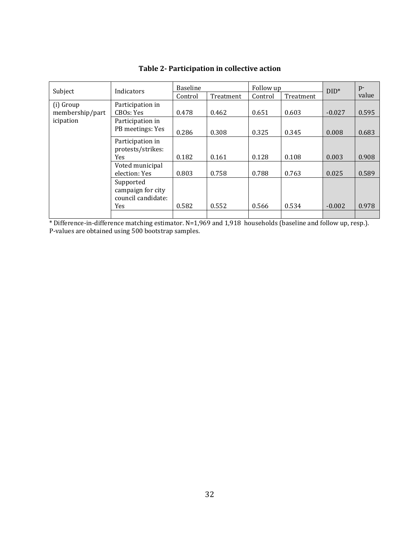| Subject         | Indicators                                                  | <b>Baseline</b> |           | Follow up |           | $DID^*$  | $p-$  |
|-----------------|-------------------------------------------------------------|-----------------|-----------|-----------|-----------|----------|-------|
|                 |                                                             | Control         | Treatment | Control   | Treatment |          | value |
| (i) Group       | Participation in                                            |                 |           |           |           |          |       |
| membership/part | CBOs: Yes                                                   | 0.478           | 0.462     | 0.651     | 0.603     | $-0.027$ | 0.595 |
| icipation       | Participation in                                            |                 |           |           |           |          |       |
|                 | PB meetings: Yes                                            | 0.286           | 0.308     | 0.325     | 0.345     | 0.008    | 0.683 |
|                 | Participation in<br>protests/strikes:                       |                 |           |           |           |          |       |
|                 | <b>Yes</b>                                                  | 0.182           | 0.161     | 0.128     | 0.108     | 0.003    | 0.908 |
|                 | Voted municipal<br>election: Yes                            | 0.803           | 0.758     | 0.788     | 0.763     | 0.025    | 0.589 |
|                 | Supported<br>campaign for city<br>council candidate:<br>Yes | 0.582           | 0.552     | 0.566     | 0.534     | $-0.002$ | 0.978 |
|                 |                                                             |                 |           |           |           |          |       |

**Table 2- Participation in collective action**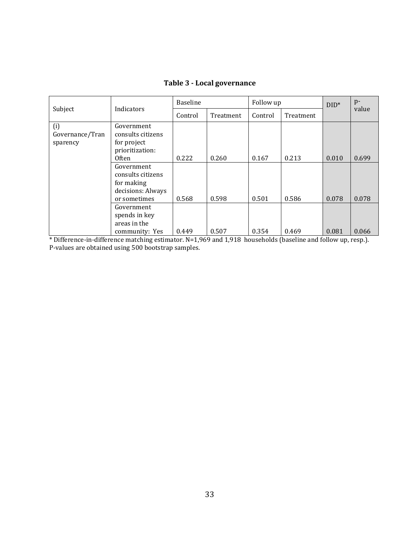|                                    | Indicators                                                                         | Baseline |           | Follow up |           | $DID^*$ | $p-$  |
|------------------------------------|------------------------------------------------------------------------------------|----------|-----------|-----------|-----------|---------|-------|
| Subject                            |                                                                                    | Control  | Treatment | Control   | Treatment |         | value |
| (i)<br>Governance/Tran<br>sparency | Government<br>consults citizens<br>for project<br>prioritization:                  |          |           |           |           |         |       |
|                                    | <b>Often</b>                                                                       | 0.222    | 0.260     | 0.167     | 0.213     | 0.010   | 0.699 |
|                                    | Government<br>consults citizens<br>for making<br>decisions: Always<br>or sometimes | 0.568    | 0.598     | 0.501     | 0.586     | 0.078   | 0.078 |
|                                    | Government<br>spends in key<br>areas in the<br>community: Yes                      | 0.449    | 0.507     | 0.354     | 0.469     | 0.081   | 0.066 |

**Table 3 - Local governance**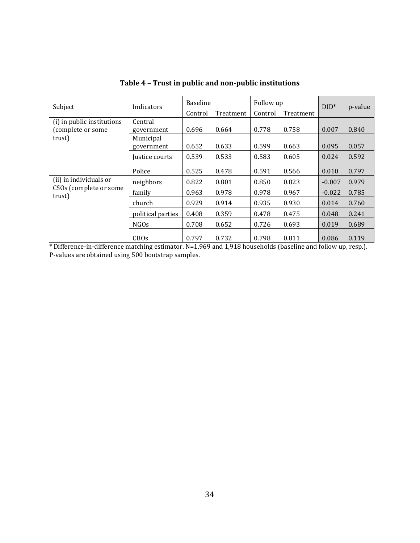| Subject                                         | Indicators              |         | <b>Baseline</b> |         | Follow up | $DID^*$  | p-value |  |
|-------------------------------------------------|-------------------------|---------|-----------------|---------|-----------|----------|---------|--|
|                                                 |                         | Control | Treatment       | Control | Treatment |          |         |  |
| (i) in public institutions<br>(complete or some | Central<br>government   | 0.696   | 0.664           | 0.778   | 0.758     | 0.007    | 0.840   |  |
| trust)                                          | Municipal<br>government | 0.652   | 0.633           | 0.599   | 0.663     | 0.095    | 0.057   |  |
|                                                 | Justice courts          | 0.539   | 0.533           | 0.583   | 0.605     | 0.024    | 0.592   |  |
|                                                 | Police                  | 0.525   | 0.478           | 0.591   | 0.566     | 0.010    | 0.797   |  |
| (ii) in individuals or                          | neighbors               | 0.822   | 0.801           | 0.850   | 0.823     | $-0.007$ | 0.979   |  |
| CSOs (complete or some<br>trust)                | family                  | 0.963   | 0.978           | 0.978   | 0.967     | $-0.022$ | 0.785   |  |
|                                                 | church                  | 0.929   | 0.914           | 0.935   | 0.930     | 0.014    | 0.760   |  |
|                                                 | political parties       | 0.408   | 0.359           | 0.478   | 0.475     | 0.048    | 0.241   |  |
|                                                 | NGOs                    | 0.708   | 0.652           | 0.726   | 0.693     | 0.019    | 0.689   |  |
|                                                 | <b>CBOs</b>             | 0.797   | 0.732           | 0.798   | 0.811     | 0.086    | 0.119   |  |

**Table 4 – Trust in public and non-public institutions**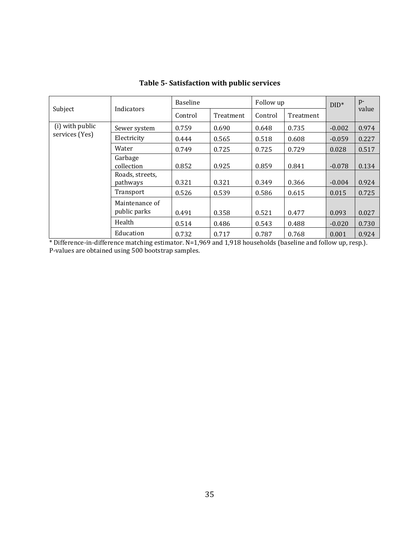|                                   | Indicators                     | <b>Baseline</b> |           | Follow up |           | $DID^*$  | $p-$  |
|-----------------------------------|--------------------------------|-----------------|-----------|-----------|-----------|----------|-------|
| Subject                           |                                | Control         | Treatment | Control   | Treatment |          | value |
| (i) with public<br>services (Yes) | Sewer system                   | 0.759           | 0.690     | 0.648     | 0.735     | $-0.002$ | 0.974 |
|                                   | Electricity                    | 0.444           | 0.565     | 0.518     | 0.608     | $-0.059$ | 0.227 |
|                                   | Water                          | 0.749           | 0.725     | 0.725     | 0.729     | 0.028    | 0.517 |
|                                   | Garbage<br>collection          | 0.852           | 0.925     | 0.859     | 0.841     | $-0.078$ | 0.134 |
|                                   | Roads, streets,<br>pathways    | 0.321           | 0.321     | 0.349     | 0.366     | $-0.004$ | 0.924 |
|                                   | Transport                      | 0.526           | 0.539     | 0.586     | 0.615     | 0.015    | 0.725 |
|                                   | Maintenance of<br>public parks | 0.491           | 0.358     | 0.521     | 0.477     | 0.093    | 0.027 |
|                                   | Health                         | 0.514           | 0.486     | 0.543     | 0.488     | $-0.020$ | 0.730 |
|                                   | Education                      | 0.732           | 0.717     | 0.787     | 0.768     | 0.001    | 0.924 |

**Table 5- Satisfaction with public services**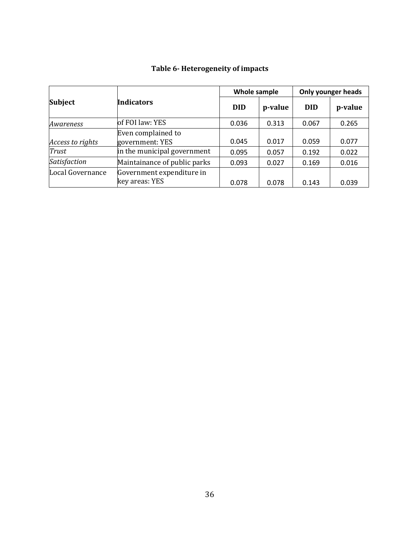|                  |                                             | Whole sample |         | <b>Only younger heads</b> |         |  |
|------------------|---------------------------------------------|--------------|---------|---------------------------|---------|--|
| <b>Subject</b>   | <b>Indicators</b>                           | <b>DID</b>   | p-value | <b>DID</b>                | p-value |  |
| Awareness        | of FOI law: YES                             | 0.036        | 0.313   | 0.067                     | 0.265   |  |
| Access to rights | Even complained to<br>government: YES       | 0.045        | 0.017   | 0.059                     | 0.077   |  |
| Trust            | in the municipal government                 | 0.095        | 0.057   | 0.192                     | 0.022   |  |
| Satisfaction     | Maintainance of public parks                | 0.093        | 0.027   | 0.169                     | 0.016   |  |
| Local Governance | Government expenditure in<br>key areas: YES | 0.078        | 0.078   | 0.143                     | 0.039   |  |

## **Table 6- Heterogeneity of impacts**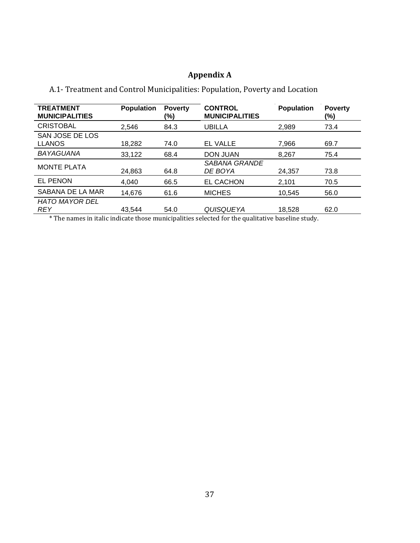## **Appendix A**

| A.1- Treatment and Control Municipalities: Population, Poverty and Location |  |
|-----------------------------------------------------------------------------|--|
|-----------------------------------------------------------------------------|--|

| <b>TREATMENT</b><br><b>MUNICIPALITIES</b> | <b>Population</b> | <b>Poverty</b><br>(%) | <b>CONTROL</b><br><b>MUNICIPALITIES</b> | <b>Population</b> | <b>Poverty</b><br>(%) |
|-------------------------------------------|-------------------|-----------------------|-----------------------------------------|-------------------|-----------------------|
| <b>CRISTOBAL</b>                          | 2.546             | 84.3                  | <b>UBILLA</b>                           | 2,989             | 73.4                  |
| SAN JOSE DE LOS<br><b>LLANOS</b>          | 18,282            | 74.0                  | <b>EL VALLE</b>                         | 7,966             | 69.7                  |
| <b>BAYAGUANA</b>                          | 33,122            | 68.4                  | <b>DON JUAN</b>                         | 8.267             | 75.4                  |
| <b>MONTE PLATA</b>                        | 24,863            | 64.8                  | <i><b>SABANA GRANDE</b></i><br>DE BOYA  | 24,357            | 73.8                  |
| <b>EL PENON</b>                           | 4.040             | 66.5                  | <b>EL CACHON</b>                        | 2,101             | 70.5                  |
| SABANA DE LA MAR                          | 14,676            | 61.6                  | <b>MICHES</b>                           | 10,545            | 56.0                  |
| HATO MAYOR DEL<br><b>REY</b>              | 43,544            | 54.0                  | QUISQUEYA                               | 18,528            | 62.0                  |

\* The names in italic indicate those municipalities selected for the qualitative baseline study.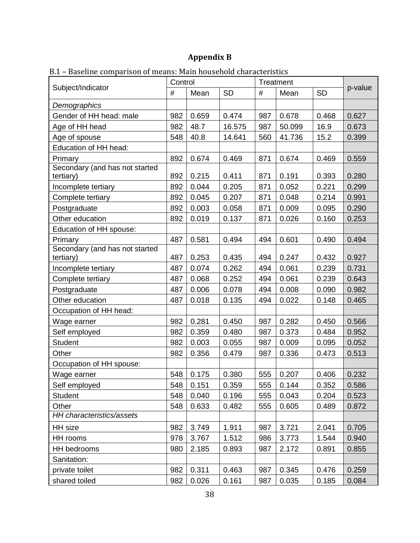## **Appendix B**

|                                             | Control |       |           | Treatment |        |           |         |  |
|---------------------------------------------|---------|-------|-----------|-----------|--------|-----------|---------|--|
| Subject/Indicator                           | $\#$    | Mean  | <b>SD</b> | #         | Mean   | <b>SD</b> | p-value |  |
| Demographics                                |         |       |           |           |        |           |         |  |
| Gender of HH head: male                     | 982     | 0.659 | 0.474     | 987       | 0.678  | 0.468     | 0.627   |  |
| Age of HH head                              | 982     | 48.7  | 16.575    | 987       | 50.099 | 16.9      | 0.673   |  |
| Age of spouse                               | 548     | 40.8  | 14.641    | 560       | 41.736 | 15.2      | 0.399   |  |
| Education of HH head:                       |         |       |           |           |        |           |         |  |
| Primary                                     | 892     | 0.674 | 0.469     | 871       | 0.674  | 0.469     | 0.559   |  |
| Secondary (and has not started<br>tertiary) | 892     | 0.215 | 0.411     | 871       | 0.191  | 0.393     | 0.280   |  |
| Incomplete tertiary                         | 892     | 0.044 | 0.205     | 871       | 0.052  | 0.221     | 0.299   |  |
| Complete tertiary                           | 892     | 0.045 | 0.207     | 871       | 0.048  | 0.214     | 0.991   |  |
| Postgraduate                                | 892     | 0.003 | 0.058     | 871       | 0.009  | 0.095     | 0.290   |  |
| Other education                             | 892     | 0.019 | 0.137     | 871       | 0.026  | 0.160     | 0.253   |  |
| Education of HH spouse:                     |         |       |           |           |        |           |         |  |
| Primary                                     | 487     | 0.581 | 0.494     | 494       | 0.601  | 0.490     | 0.494   |  |
| Secondary (and has not started<br>tertiary) | 487     | 0.253 | 0.435     | 494       | 0.247  | 0.432     | 0.927   |  |
| Incomplete tertiary                         | 487     | 0.074 | 0.262     | 494       | 0.061  | 0.239     | 0.731   |  |
| Complete tertiary                           | 487     | 0.068 | 0.252     | 494       | 0.061  | 0.239     | 0.643   |  |
| Postgraduate                                | 487     | 0.006 | 0.078     | 494       | 0.008  | 0.090     | 0.982   |  |
| Other education                             | 487     | 0.018 | 0.135     | 494       | 0.022  | 0.148     | 0.465   |  |
| Occupation of HH head:                      |         |       |           |           |        |           |         |  |
| Wage earner                                 | 982     | 0.281 | 0.450     | 987       | 0.282  | 0.450     | 0.566   |  |
| Self employed                               | 982     | 0.359 | 0.480     | 987       | 0.373  | 0.484     | 0.952   |  |
| <b>Student</b>                              | 982     | 0.003 | 0.055     | 987       | 0.009  | 0.095     | 0.052   |  |
| Other                                       | 982     | 0.356 | 0.479     | 987       | 0.336  | 0.473     | 0.513   |  |
| Occupation of HH spouse:                    |         |       |           |           |        |           |         |  |
| Wage earner                                 | 548     | 0.175 | 0.380     | 555       | 0.207  | 0.406     | 0.232   |  |
| Self employed                               | 548     | 0.151 | 0.359     | 555       | 0.144  | 0.352     | 0.586   |  |
| <b>Student</b>                              | 548     | 0.040 | 0.196     | 555       | 0.043  | 0.204     | 0.523   |  |
| Other                                       | 548     | 0.633 | 0.482     | 555       | 0.605  | 0.489     | 0.872   |  |
| HH characteristics/assets                   |         |       |           |           |        |           |         |  |
| HH size                                     | 982     | 3.749 | 1.911     | 987       | 3.721  | 2.041     | 0.705   |  |
| HH rooms                                    | 978     | 3.767 | 1.512     | 986       | 3.773  | 1.544     | 0.940   |  |
| HH bedrooms                                 | 980     | 2.185 | 0.893     | 987       | 2.172  | 0.891     | 0.855   |  |
| Sanitation:                                 |         |       |           |           |        |           |         |  |
| private toilet                              | 982     | 0.311 | 0.463     | 987       | 0.345  | 0.476     | 0.259   |  |
| shared toiled                               | 982     | 0.026 | 0.161     | 987       | 0.035  | 0.185     | 0.084   |  |

B.1 – Baseline comparison of means: Main household characteristics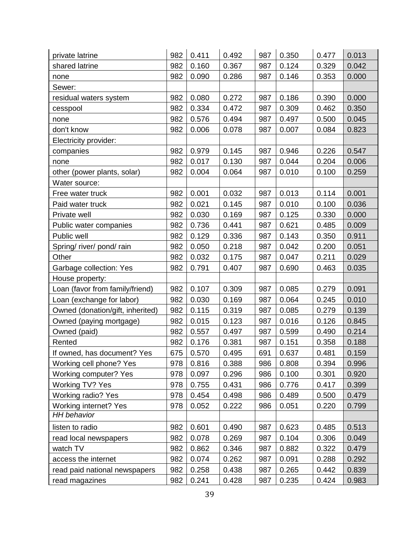| private latrine                  | 982 | 0.411 | 0.492 | 987 | 0.350 | 0.477 | 0.013 |
|----------------------------------|-----|-------|-------|-----|-------|-------|-------|
| shared latrine                   | 982 | 0.160 | 0.367 | 987 | 0.124 | 0.329 | 0.042 |
| none                             | 982 | 0.090 | 0.286 | 987 | 0.146 | 0.353 | 0.000 |
| Sewer:                           |     |       |       |     |       |       |       |
| residual waters system           | 982 | 0.080 | 0.272 | 987 | 0.186 | 0.390 | 0.000 |
| cesspool                         | 982 | 0.334 | 0.472 | 987 | 0.309 | 0.462 | 0.350 |
| none                             | 982 | 0.576 | 0.494 | 987 | 0.497 | 0.500 | 0.045 |
| don't know                       | 982 | 0.006 | 0.078 | 987 | 0.007 | 0.084 | 0.823 |
| Electricity provider:            |     |       |       |     |       |       |       |
| companies                        | 982 | 0.979 | 0.145 | 987 | 0.946 | 0.226 | 0.547 |
| none                             | 982 | 0.017 | 0.130 | 987 | 0.044 | 0.204 | 0.006 |
| other (power plants, solar)      | 982 | 0.004 | 0.064 | 987 | 0.010 | 0.100 | 0.259 |
| Water source:                    |     |       |       |     |       |       |       |
| Free water truck                 | 982 | 0.001 | 0.032 | 987 | 0.013 | 0.114 | 0.001 |
| Paid water truck                 | 982 | 0.021 | 0.145 | 987 | 0.010 | 0.100 | 0.036 |
| Private well                     | 982 | 0.030 | 0.169 | 987 | 0.125 | 0.330 | 0.000 |
| Public water companies           | 982 | 0.736 | 0.441 | 987 | 0.621 | 0.485 | 0.009 |
| Public well                      | 982 | 0.129 | 0.336 | 987 | 0.143 | 0.350 | 0.911 |
| Spring/ river/ pond/ rain        | 982 | 0.050 | 0.218 | 987 | 0.042 | 0.200 | 0.051 |
| Other                            | 982 | 0.032 | 0.175 | 987 | 0.047 | 0.211 | 0.029 |
| Garbage collection: Yes          | 982 | 0.791 | 0.407 | 987 | 0.690 | 0.463 | 0.035 |
| House property:                  |     |       |       |     |       |       |       |
| Loan (favor from family/friend)  | 982 | 0.107 | 0.309 | 987 | 0.085 | 0.279 | 0.091 |
| Loan (exchange for labor)        | 982 | 0.030 | 0.169 | 987 | 0.064 | 0.245 | 0.010 |
| Owned (donation/gift, inherited) | 982 | 0.115 | 0.319 | 987 | 0.085 | 0.279 | 0.139 |
| Owned (paying mortgage)          | 982 | 0.015 | 0.123 | 987 | 0.016 | 0.126 | 0.845 |
| Owned (paid)                     | 982 | 0.557 | 0.497 | 987 | 0.599 | 0.490 | 0.214 |
| Rented                           | 982 | 0.176 | 0.381 | 987 | 0.151 | 0.358 | 0.188 |
| If owned, has document? Yes      | 675 | 0.570 | 0.495 | 691 | 0.637 | 0.481 | 0.159 |
| Working cell phone? Yes          | 978 | 0.816 | 0.388 | 986 | 0.808 | 0.394 | 0.996 |
| Working computer? Yes            | 978 | 0.097 | 0.296 | 986 | 0.100 | 0.301 | 0.920 |
| Working TV? Yes                  | 978 | 0.755 | 0.431 | 986 | 0.776 | 0.417 | 0.399 |
| Working radio? Yes               | 978 | 0.454 | 0.498 | 986 | 0.489 | 0.500 | 0.479 |
| Working internet? Yes            | 978 | 0.052 | 0.222 | 986 | 0.051 | 0.220 | 0.799 |
| <b>HH</b> behavior               |     |       |       |     |       |       |       |
| listen to radio                  | 982 | 0.601 | 0.490 | 987 | 0.623 | 0.485 | 0.513 |
| read local newspapers            | 982 | 0.078 | 0.269 | 987 | 0.104 | 0.306 | 0.049 |
| watch TV                         | 982 | 0.862 | 0.346 | 987 | 0.882 | 0.322 | 0.479 |
| access the internet              | 982 | 0.074 | 0.262 | 987 | 0.091 | 0.288 | 0.292 |
| read paid national newspapers    | 982 | 0.258 | 0.438 | 987 | 0.265 | 0.442 | 0.839 |
| read magazines                   | 982 | 0.241 | 0.428 | 987 | 0.235 | 0.424 | 0.983 |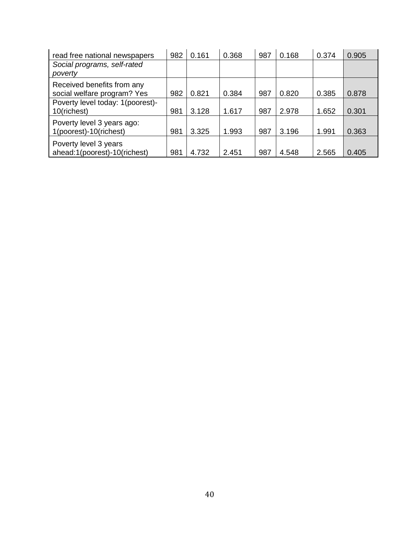| read free national newspapers                             | 982 | 0.161 | 0.368 | 987 | 0.168 | 0.374 | 0.905 |
|-----------------------------------------------------------|-----|-------|-------|-----|-------|-------|-------|
| Social programs, self-rated<br>poverty                    |     |       |       |     |       |       |       |
| Received benefits from any<br>social welfare program? Yes | 982 | 0.821 | 0.384 | 987 | 0.820 | 0.385 | 0.878 |
| Poverty level today: 1(poorest)-<br>10(richest)           | 981 | 3.128 | 1.617 | 987 | 2.978 | 1.652 | 0.301 |
| Poverty level 3 years ago:<br>1(poorest)-10(richest)      | 981 | 3.325 | 1.993 | 987 | 3.196 | 1.991 | 0.363 |
| Poverty level 3 years<br>ahead:1(poorest)-10(richest)     | 981 | 4.732 | 2.451 | 987 | 4.548 | 2.565 | 0.405 |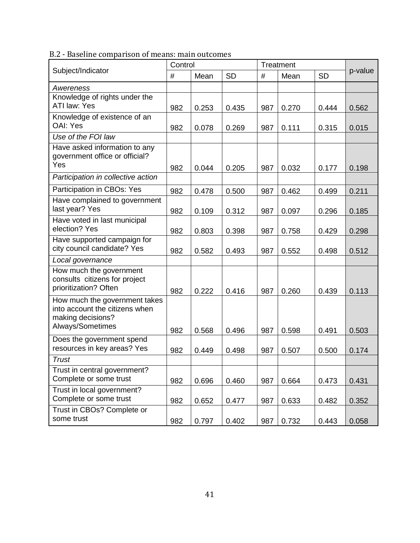B.2 - Baseline comparison of means: main outcomes

|                                                                                                          | Control |       |           |     | Treatment |           |         |
|----------------------------------------------------------------------------------------------------------|---------|-------|-----------|-----|-----------|-----------|---------|
| Subject/Indicator                                                                                        | #       | Mean  | <b>SD</b> | #   | Mean      | <b>SD</b> | p-value |
| Awereness                                                                                                |         |       |           |     |           |           |         |
| Knowledge of rights under the<br>ATI law: Yes                                                            | 982     | 0.253 | 0.435     | 987 | 0.270     | 0.444     | 0.562   |
| Knowledge of existence of an<br>OAI: Yes                                                                 | 982     | 0.078 | 0.269     | 987 | 0.111     | 0.315     | 0.015   |
| Use of the FOI law                                                                                       |         |       |           |     |           |           |         |
| Have asked information to any<br>government office or official?<br>Yes                                   | 982     | 0.044 | 0.205     | 987 | 0.032     | 0.177     | 0.198   |
| Participation in collective action                                                                       |         |       |           |     |           |           |         |
| Participation in CBOs: Yes                                                                               | 982     | 0.478 | 0.500     | 987 | 0.462     | 0.499     | 0.211   |
| Have complained to government<br>last year? Yes                                                          | 982     | 0.109 | 0.312     | 987 | 0.097     | 0.296     | 0.185   |
| Have voted in last municipal<br>election? Yes                                                            | 982     | 0.803 | 0.398     | 987 | 0.758     | 0.429     | 0.298   |
| Have supported campaign for<br>city council candidate? Yes                                               | 982     | 0.582 | 0.493     | 987 | 0.552     | 0.498     | 0.512   |
| Local governance                                                                                         |         |       |           |     |           |           |         |
| How much the government<br>consults citizens for project<br>prioritization? Often                        | 982     | 0.222 | 0.416     | 987 | 0.260     | 0.439     | 0.113   |
| How much the government takes<br>into account the citizens when<br>making decisions?<br>Always/Sometimes | 982     | 0.568 | 0.496     | 987 | 0.598     | 0.491     | 0.503   |
| Does the government spend<br>resources in key areas? Yes                                                 | 982     | 0.449 | 0.498     | 987 | 0.507     | 0.500     | 0.174   |
| Trust                                                                                                    |         |       |           |     |           |           |         |
| Trust in central government?<br>Complete or some trust                                                   | 982     | 0.696 | 0.460     | 987 | 0.664     | 0.473     | 0.431   |
| Trust in local government?<br>Complete or some trust                                                     | 982     | 0.652 | 0.477     | 987 | 0.633     | 0.482     | 0.352   |
| Trust in CBOs? Complete or<br>some trust                                                                 | 982     | 0.797 | 0.402     | 987 | 0.732     | 0.443     | 0.058   |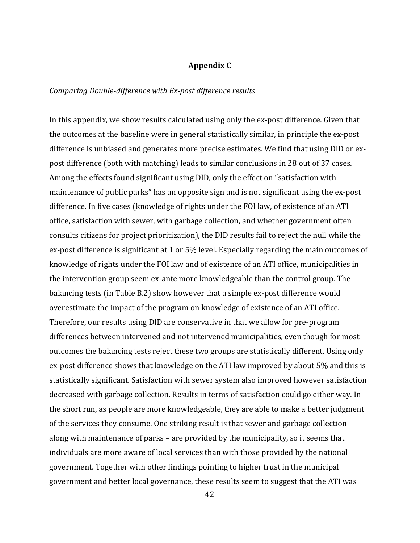#### **Appendix C**

#### *Comparing Double-difference with Ex-post difference results*

In this appendix, we show results calculated using only the ex-post difference. Given that the outcomes at the baseline were in general statistically similar, in principle the ex-post difference is unbiased and generates more precise estimates. We find that using DID or expost difference (both with matching) leads to similar conclusions in 28 out of 37 cases. Among the effects found significant using DID, only the effect on "satisfaction with maintenance of public parks" has an opposite sign and is not significant using the ex-post difference. In five cases (knowledge of rights under the FOI law, of existence of an ATI office, satisfaction with sewer, with garbage collection, and whether government often consults citizens for project prioritization), the DID results fail to reject the null while the ex-post difference is significant at 1 or 5% level. Especially regarding the main outcomes of knowledge of rights under the FOI law and of existence of an ATI office, municipalities in the intervention group seem ex-ante more knowledgeable than the control group. The balancing tests (in Table B.2) show however that a simple ex-post difference would overestimate the impact of the program on knowledge of existence of an ATI office. Therefore, our results using DID are conservative in that we allow for pre-program differences between intervened and not intervened municipalities, even though for most outcomes the balancing tests reject these two groups are statistically different. Using only ex-post difference shows that knowledge on the ATI law improved by about 5% and this is statistically significant. Satisfaction with sewer system also improved however satisfaction decreased with garbage collection. Results in terms of satisfaction could go either way. In the short run, as people are more knowledgeable, they are able to make a better judgment of the services they consume. One striking result is that sewer and garbage collection – along with maintenance of parks – are provided by the municipality, so it seems that individuals are more aware of local services than with those provided by the national government. Together with other findings pointing to higher trust in the municipal government and better local governance, these results seem to suggest that the ATI was

42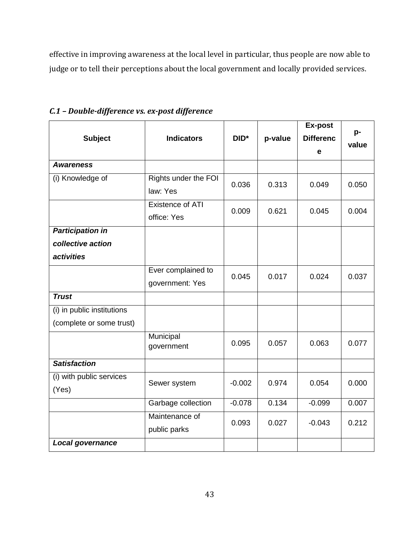effective in improving awareness at the local level in particular, thus people are now able to judge or to tell their perceptions about the local government and locally provided services.

|                            |                         |                  |         | Ex-post          | p-    |  |
|----------------------------|-------------------------|------------------|---------|------------------|-------|--|
| <b>Subject</b>             | <b>Indicators</b>       | DID <sup>*</sup> | p-value | <b>Differenc</b> | value |  |
|                            |                         |                  |         | е                |       |  |
| <b>Awareness</b>           |                         |                  |         |                  |       |  |
| (i) Knowledge of           | Rights under the FOI    | 0.036            | 0.313   | 0.049            | 0.050 |  |
|                            | law: Yes                |                  |         |                  |       |  |
|                            | <b>Existence of ATI</b> | 0.009            | 0.621   | 0.045            | 0.004 |  |
|                            | office: Yes             |                  |         |                  |       |  |
| <b>Participation in</b>    |                         |                  |         |                  |       |  |
| collective action          |                         |                  |         |                  |       |  |
| activities                 |                         |                  |         |                  |       |  |
|                            | Ever complained to      | 0.045            | 0.017   | 0.024            | 0.037 |  |
|                            | government: Yes         |                  |         |                  |       |  |
| <b>Trust</b>               |                         |                  |         |                  |       |  |
| (i) in public institutions |                         |                  |         |                  |       |  |
| (complete or some trust)   |                         |                  |         |                  |       |  |
|                            | Municipal               | 0.095            | 0.057   | 0.063            | 0.077 |  |
|                            | government              |                  |         |                  |       |  |
| <b>Satisfaction</b>        |                         |                  |         |                  |       |  |
| (i) with public services   | Sewer system            | $-0.002$         | 0.974   | 0.054            | 0.000 |  |
| (Yes)                      |                         |                  |         |                  |       |  |
|                            | Garbage collection      | $-0.078$         | 0.134   | $-0.099$         | 0.007 |  |
|                            | Maintenance of          | 0.093            | 0.027   | $-0.043$         | 0.212 |  |
|                            | public parks            |                  |         |                  |       |  |
| Local governance           |                         |                  |         |                  |       |  |

## *C.1 – Double-difference vs. ex-post difference*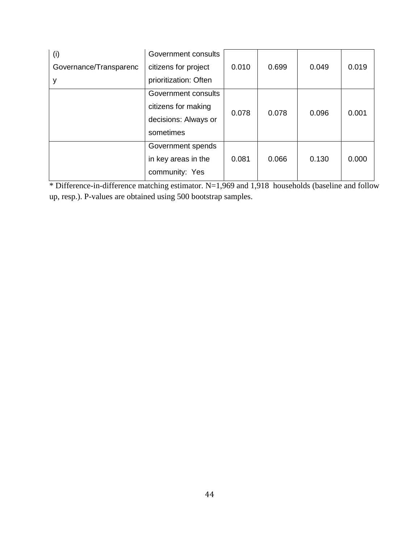| (i)                    | Government consults   |       | 0.699 | 0.049 | 0.019 |
|------------------------|-----------------------|-------|-------|-------|-------|
| Governance/Transparenc | citizens for project  | 0.010 |       |       |       |
| У                      | prioritization: Often |       |       |       |       |
|                        | Government consults   |       | 0.078 | 0.096 | 0.001 |
|                        | citizens for making   |       |       |       |       |
|                        | decisions: Always or  | 0.078 |       |       |       |
|                        | sometimes             |       |       |       |       |
|                        | Government spends     |       | 0.066 | 0.130 | 0.000 |
|                        | in key areas in the   | 0.081 |       |       |       |
|                        | community: Yes        |       |       |       |       |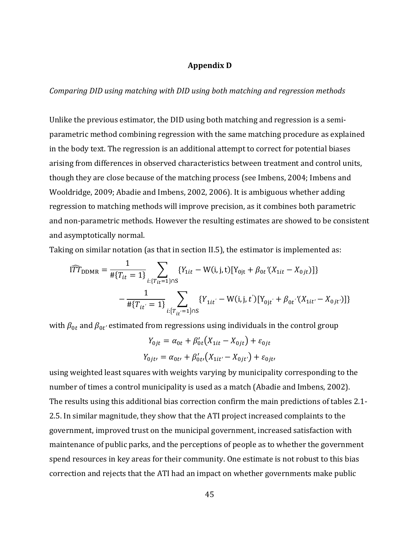#### **Appendix D**

*Comparing DID using matching with DID using both matching and regression methods*

Unlike the previous estimator, the DID using both matching and regression is a semiparametric method combining regression with the same matching procedure as explained in the body text. The regression is an additional attempt to correct for potential biases arising from differences in observed characteristics between treatment and control units, though they are close because of the matching process (see Imbens, 2004; Imbens and Wooldridge, 2009; Abadie and Imbens, 2002, 2006). It is ambiguous whether adding regression to matching methods will improve precision, as it combines both parametric and non-parametric methods. However the resulting estimates are showed to be consistent and asymptotically normal.

Taking on similar notation (as that in section II.5), the estimator is implemented as:

$$
I\widehat{T}\widehat{T}_{\text{DDMR}} = \frac{1}{\# \{T_{it} = 1\}} \sum_{i:\{T_{it} = 1\} \cap S} \{Y_{1it} - W(i, j, t) [Y_{0jt} + \beta_{0t} ' (X_{1it} - X_{0jt})]\}
$$

$$
- \frac{1}{\# \{T_{it'} = 1\}} \sum_{i:\{T_{it'} = 1\} \cap S} \{Y_{1it'} - W(i, j, t') [Y_{0jt'} + \beta_{0t} ' (X_{1it'} - X_{0jt'})]\}
$$

with  $\beta_{0t}$  and  $\beta_{0t'}$  estimated from regressions using individuals in the control group

$$
Y_{0jt} = \alpha_{0t} + \beta'_{0t}(X_{1it} - X_{0jt}) + \varepsilon_{0jt}
$$

$$
Y_{0jt'} = \alpha_{0t'} + \beta'_{0t'}(X_{1it'} - X_{0jt'}) + \varepsilon_{0jt'}
$$

using weighted least squares with weights varying by municipality corresponding to the number of times a control municipality is used as a match (Abadie and Imbens, 2002). The results using this additional bias correction confirm the main predictions of tables 2.1- 2.5. In similar magnitude, they show that the ATI project increased complaints to the government, improved trust on the municipal government, increased satisfaction with maintenance of public parks, and the perceptions of people as to whether the government spend resources in key areas for their community. One estimate is not robust to this bias correction and rejects that the ATI had an impact on whether governments make public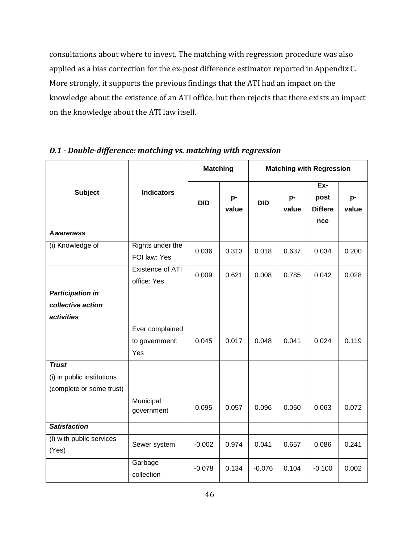consultations about where to invest. The matching with regression procedure was also applied as a bias correction for the ex-post difference estimator reported in Appendix C. More strongly, it supports the previous findings that the ATI had an impact on the knowledge about the existence of an ATI office, but then rejects that there exists an impact on the knowledge about the ATI law itself.

| <b>Subject</b>                                         | <b>Indicators</b>                        | <b>Matching</b> |             | <b>Matching with Regression</b> |             |                                      |             |
|--------------------------------------------------------|------------------------------------------|-----------------|-------------|---------------------------------|-------------|--------------------------------------|-------------|
|                                                        |                                          | <b>DID</b>      | p-<br>value | <b>DID</b>                      | p-<br>value | Ex-<br>post<br><b>Differe</b><br>nce | p-<br>value |
| <b>Awareness</b>                                       |                                          |                 |             |                                 |             |                                      |             |
| (i) Knowledge of                                       | Rights under the<br>FOI law: Yes         | 0.036           | 0.313       | 0.018                           | 0.637       | 0.034                                | 0.200       |
|                                                        | Existence of ATI<br>office: Yes          | 0.009           | 0.621       | 0.008                           | 0.785       | 0.042                                | 0.028       |
| <b>Participation in</b>                                |                                          |                 |             |                                 |             |                                      |             |
| collective action                                      |                                          |                 |             |                                 |             |                                      |             |
| activities                                             |                                          |                 |             |                                 |             |                                      |             |
|                                                        | Ever complained<br>to government:<br>Yes | 0.045           | 0.017       | 0.048                           | 0.041       | 0.024                                | 0.119       |
| <b>Trust</b>                                           |                                          |                 |             |                                 |             |                                      |             |
| (i) in public institutions<br>(complete or some trust) |                                          |                 |             |                                 |             |                                      |             |
|                                                        | Municipal<br>government                  | 0.095           | 0.057       | 0.096                           | 0.050       | 0.063                                | 0.072       |
| <b>Satisfaction</b>                                    |                                          |                 |             |                                 |             |                                      |             |
| (i) with public services<br>(Yes)                      | Sewer system                             | $-0.002$        | 0.974       | 0.041                           | 0.657       | 0.086                                | 0.241       |
|                                                        | Garbage<br>collection                    | $-0.078$        | 0.134       | $-0.076$                        | 0.104       | $-0.100$                             | 0.002       |

*D.1 - Double-difference: matching vs. matching with regression*